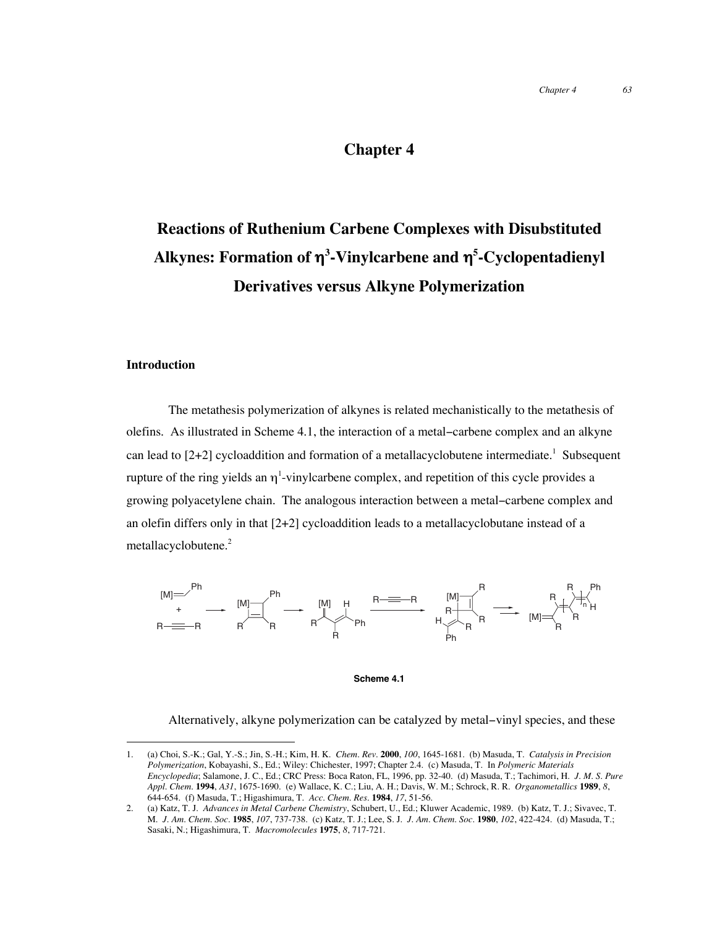### **Chapter 4**

# **Reactions of Ruthenium Carbene Complexes with Disubstituted Alkynes: Formation of** η**<sup>3</sup> -Vinylcarbene and** η**<sup>5</sup> -Cyclopentadienyl Derivatives versus Alkyne Polymerization**

#### **Introduction**

The metathesis polymerization of alkynes is related mechanistically to the metathesis of olefins. As illustrated in Scheme 4.1, the interaction of a metal−carbene complex and an alkyne can lead to [2+2] cycloaddition and formation of a metallacyclobutene intermediate.<sup>1</sup> Subsequent rupture of the ring yields an  $\eta^1$ -vinylcarbene complex, and repetition of this cycle provides a growing polyacetylene chain. The analogous interaction between a metal−carbene complex and an olefin differs only in that  $[2+2]$  cycloaddition leads to a metallacyclobutane instead of a metallacyclobutene.<sup>2</sup>



**Scheme 4.1**

Alternatively, alkyne polymerization can be catalyzed by metal−vinyl species, and these

 <sup>1.</sup> (a) Choi, S.-K.; Gal, Y.-S.; Jin, S.-H.; Kim, H. K. *Chem. Rev.* **<sup>2000</sup>**, *100*, 1645-1681. (b) Masuda, T. *Catalysis in Precision Polymerization*, Kobayashi, S., Ed.; Wiley: Chichester, 1997; Chapter 2.4. (c) Masuda, T. In *Polymeric Materials Encyclopedia*; Salamone, J. C., Ed.; CRC Press: Boca Raton, FL, 1996, pp. 32-40. (d) Masuda, T.; Tachimori, H. *J. M. S. Pure Appl. Chem.* **1994**, *A31*, 1675-1690. (e) Wallace, K. C.; Liu, A. H.; Davis, W. M.; Schrock, R. R. *Organometallics* **1989**, *8*, 644-654. (f) Masuda, T.; Higashimura, T. *Acc. Chem. Res.* **1984**, *17*, 51-56.

<sup>2.</sup> (a) Katz, T. J. *Advances in Metal Carbene Chemistry*, Schubert, U., Ed.; Kluwer Academic, 1989. (b) Katz, T. J.; Sivavec, T. M. *J. Am. Chem. Soc.* **1985**, *107*, 737-738. (c) Katz, T. J.; Lee, S. J. *J. Am. Chem. Soc.* **1980**, *102*, 422-424. (d) Masuda, T.; Sasaki, N.; Higashimura, T. *Macromolecules* **1975**, *8*, 717-721.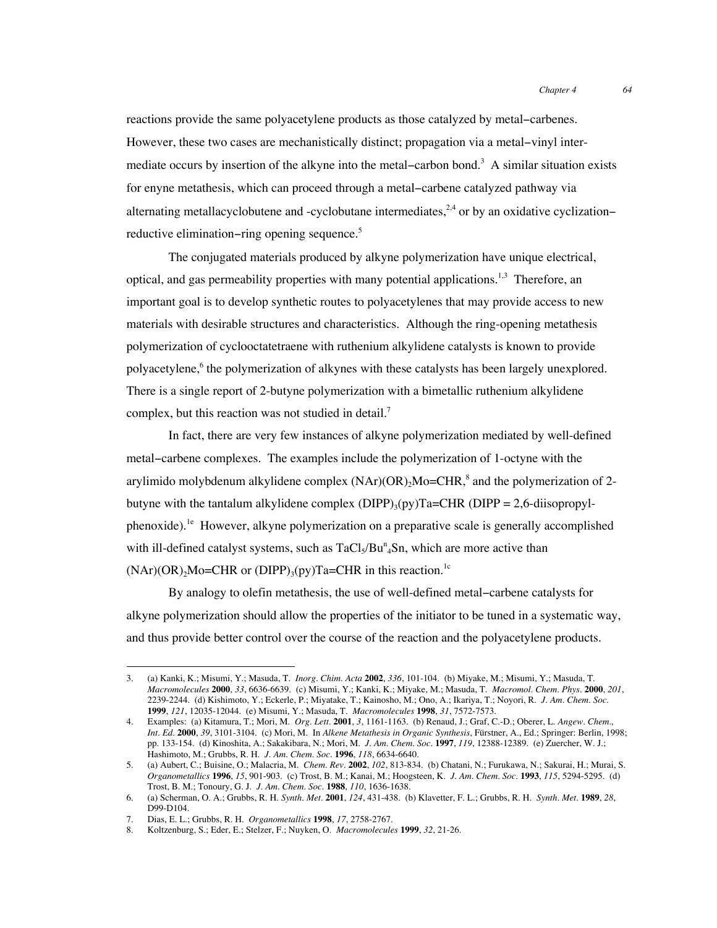reactions provide the same polyacetylene products as those catalyzed by metal−carbenes. However, these two cases are mechanistically distinct; propagation via a metal−vinyl intermediate occurs by insertion of the alkyne into the metal–carbon bond.<sup>3</sup> A similar situation exists for enyne metathesis, which can proceed through a metal−carbene catalyzed pathway via alternating metallacyclobutene and -cyclobutane intermediates,<sup>2,4</sup> or by an oxidative cyclization– reductive elimination−ring opening sequence.5

The conjugated materials produced by alkyne polymerization have unique electrical, optical, and gas permeability properties with many potential applications.<sup>1,3</sup> Therefore, an important goal is to develop synthetic routes to polyacetylenes that may provide access to new materials with desirable structures and characteristics. Although the ring-opening metathesis polymerization of cyclooctatetraene with ruthenium alkylidene catalysts is known to provide polyacetylene,<sup>6</sup> the polymerization of alkynes with these catalysts has been largely unexplored. There is a single report of 2-butyne polymerization with a bimetallic ruthenium alkylidene complex, but this reaction was not studied in detail.<sup>7</sup>

In fact, there are very few instances of alkyne polymerization mediated by well-defined metal−carbene complexes. The examples include the polymerization of 1-octyne with the arylimido molybdenum alkylidene complex  $(NAr)(OR)_2Mo=CHR$ ,<sup>8</sup> and the polymerization of 2butyne with the tantalum alkylidene complex (DIPP) $_3$ (py)Ta=CHR (DIPP = 2,6-diisopropylphenoxide).<sup>1e</sup> However, alkyne polymerization on a preparative scale is generally accomplished with ill-defined catalyst systems, such as  $TaCl<sub>5</sub>/Bu<sup>n</sup><sub>4</sub>Sn$ , which are more active than  $(NAr)(OR)_2Mo=CHR$  or  $(DIPP)_3(py)Ta=CHR$  in this reaction.<sup>1c</sup>

By analogy to olefin metathesis, the use of well-defined metal−carbene catalysts for alkyne polymerization should allow the properties of the initiator to be tuned in a systematic way, and thus provide better control over the course of the reaction and the polyacetylene products.

 <sup>3.</sup> (a) Kanki, K.; Misumi, Y.; Masuda, T. *Inorg. Chim. Acta* **<sup>2002</sup>**, *336*, 101-104. (b) Miyake, M.; Misumi, Y.; Masuda, T. *Macromolecules* **2000**, *33*, 6636-6639. (c) Misumi, Y.; Kanki, K.; Miyake, M.; Masuda, T. *Macromol. Chem. Phys.* **2000**, *201*, 2239-2244. (d) Kishimoto, Y.; Eckerle, P.; Miyatake, T.; Kainosho, M.; Ono, A.; Ikariya, T.; Noyori, R. *J. Am. Chem. Soc.* **1999**, *121*, 12035-12044. (e) Misumi, Y.; Masuda, T. *Macromolecules* **1998**, *31*, 7572-7573.

<sup>4.</sup> Examples: (a) Kitamura, T.; Mori, M. *Org. Lett.* **2001**, *3*, 1161-1163. (b) Renaud, J.; Graf, C.-D.; Oberer, L. *Angew. Chem., Int. Ed.* **2000**, *39*, 3101-3104. (c) Mori, M. In *Alkene Metathesis in Organic Synthesis*, Fürstner, A., Ed.; Springer: Berlin, 1998; pp. 133-154. (d) Kinoshita, A.; Sakakibara, N.; Mori, M. *J. Am. Chem. Soc.* **1997**, *119*, 12388-12389. (e) Zuercher, W. J.; Hashimoto, M.; Grubbs, R. H. *J. Am. Chem. Soc.* **1996**, *118*, 6634-6640.

<sup>5.</sup> (a) Aubert, C.; Buisine, O.; Malacria, M. *Chem. Rev.* **2002**, *102*, 813-834. (b) Chatani, N.; Furukawa, N.; Sakurai, H.; Murai, S. *Organometallics* **1996**, *15*, 901-903. (c) Trost, B. M.; Kanai, M.; Hoogsteen, K. *J. Am. Chem. Soc.* **1993**, *115*, 5294-5295. (d) Trost, B. M.; Tonoury, G. J. *J. Am. Chem. Soc.* **1988**, *110*, 1636-1638.

<sup>6.</sup> (a) Scherman, O. A.; Grubbs, R. H. *Synth. Met.* **2001**, *124*, 431-438. (b) Klavetter, F. L.; Grubbs, R. H. *Synth. Met.* **1989**, *28*, D99-D104.

<sup>7.</sup> Dias, E. L.; Grubbs, R. H. *Organometallics* **1998**, *17*, 2758-2767.

<sup>8.</sup> Koltzenburg, S.; Eder, E.; Stelzer, F.; Nuyken, O. *Macromolecules* **1999**, *32*, 21-26.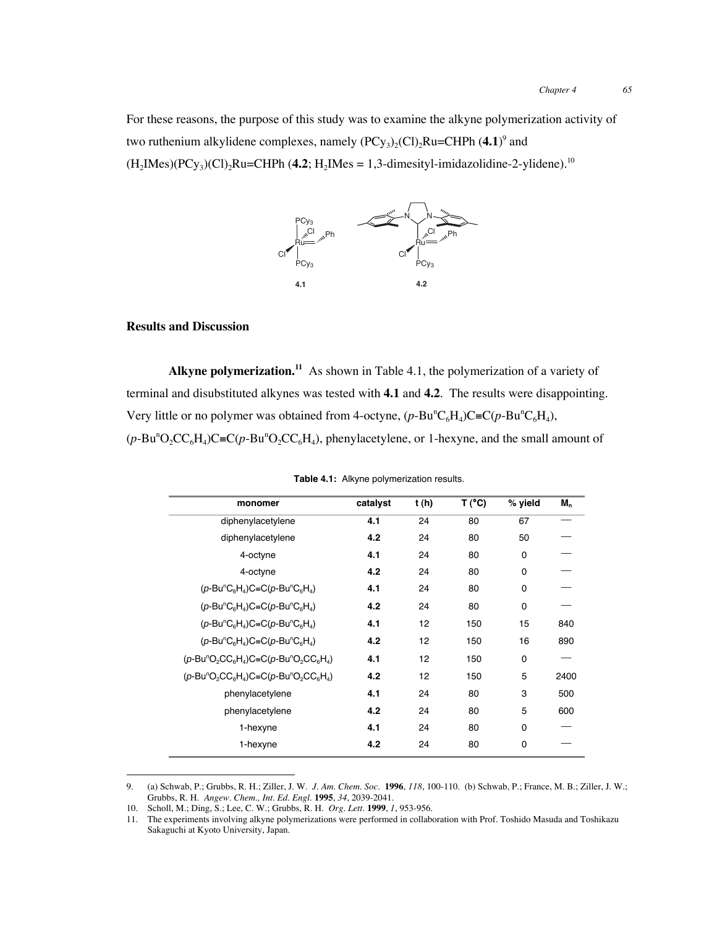For these reasons, the purpose of this study was to examine the alkyne polymerization activity of two ruthenium alkylidene complexes, namely  $(PCy_3)_2(Cl)_2Ru=CHPh (4.1)^9$  and  $(H_2Mes)(PCy_3)(Cl)_2Ru=CHPh (4.2; H_2Mes = 1,3-dimensionaliani-2-ylidene).<sup>10</sup>$ 



#### **Results and Discussion**

**Alkyne polymerization.11** As shown in Table 4.1, the polymerization of a variety of terminal and disubstituted alkynes was tested with **4.1** and **4.2**. The results were disappointing. Very little or no polymer was obtained from 4-octyne,  $(p$ -Bu<sup>n</sup>C<sub>6</sub>H<sub>4</sub>)C≡C $(p$ -Bu<sup>n</sup>C<sub>6</sub>H<sub>4</sub>),  $(p-Bu<sup>n</sup>O<sub>2</sub>CC<sub>6</sub>H<sub>4</sub>)C \equiv C(p-Bu<sup>n</sup>O<sub>2</sub>CC<sub>6</sub>H<sub>4</sub>), phenylacetylene, or 1-hexyne, and the small amount of$ 

| monomer                                                                                                                                    | catalyst | t(h) | T (°C) | % yield  | M,   |
|--------------------------------------------------------------------------------------------------------------------------------------------|----------|------|--------|----------|------|
| diphenylacetylene                                                                                                                          | 4.1      | 24   | 80     | 67       |      |
| diphenylacetylene                                                                                                                          | 4.2      | 24   | 80     | 50       |      |
| 4-octyne                                                                                                                                   | 4.1      | 24   | 80     | 0        |      |
| 4-octyne                                                                                                                                   | 4.2      | 24   | 80     | 0        |      |
| $(p-\text{Bu}^n\text{C}_{6}\text{H}_{4})\text{C}=\text{C}(p-\text{Bu}^n\text{C}_{6}\text{H}_{4})$                                          | 4.1      | 24   | 80     | 0        |      |
| $(p$ -Bu <sup>n</sup> C <sub>6</sub> H <sub>4</sub> )C=C(p-Bu <sup>n</sup> C <sub>6</sub> H <sub>4</sub> )                                 | 4.2      | 24   | 80     | 0        |      |
| $(p-\text{Bu}^n\text{C}_{6}\text{H}_{4})\text{C}=\text{C}(p-\text{Bu}^n\text{C}_{6}\text{H}_{4})$                                          | 4.1      | 12   | 150    | 15       | 840  |
| $(p-\text{Bu}^n\text{C}_{6}\text{H}_{4})\text{C}=\text{C}(p-\text{Bu}^n\text{C}_{6}\text{H}_{4})$                                          | 4.2      | 12   | 150    | 16       | 890  |
| $(p$ -Bu <sup>n</sup> O <sub>2</sub> CC <sub>6</sub> H <sub>4</sub> )C=C(p-Bu <sup>n</sup> O <sub>2</sub> CC <sub>6</sub> H <sub>4</sub> ) | 4.1      | 12   | 150    | 0        |      |
| $(p$ -Bu <sup>n</sup> O <sub>2</sub> CC <sub>6</sub> H <sub>4</sub> )C=C(p-Bu <sup>n</sup> O <sub>2</sub> CC <sub>6</sub> H <sub>4</sub> ) | 4.2      | 12   | 150    | 5        | 2400 |
| phenylacetylene                                                                                                                            | 4.1      | 24   | 80     | 3        | 500  |
| phenylacetylene                                                                                                                            | 4.2      | 24   | 80     | 5        | 600  |
| 1-hexyne                                                                                                                                   | 4.1      | 24   | 80     | $\Omega$ |      |
| 1-hexyne                                                                                                                                   | 4.2      | 24   | 80     | 0        |      |

|  |  | Table 4.1: Alkyne polymerization results. |  |
|--|--|-------------------------------------------|--|
|--|--|-------------------------------------------|--|

 <sup>9.</sup> (a) Schwab, P.; Grubbs, R. H.; Ziller, J. W. *J. Am. Chem. Soc.* **<sup>1996</sup>**, *118*, 100-110. (b) Schwab, P.; France, M. B.; Ziller, J. W.; Grubbs, R. H. *Angew. Chem., Int. Ed. Engl.* **1995**, *34*, 2039-2041.

<sup>10.</sup> Scholl, M.; Ding, S.; Lee, C. W.; Grubbs, R. H. *Org. Lett.* **1999**, *1*, 953-956.

<sup>11.</sup> The experiments involving alkyne polymerizations were performed in collaboration with Prof. Toshido Masuda and Toshikazu Sakaguchi at Kyoto University, Japan.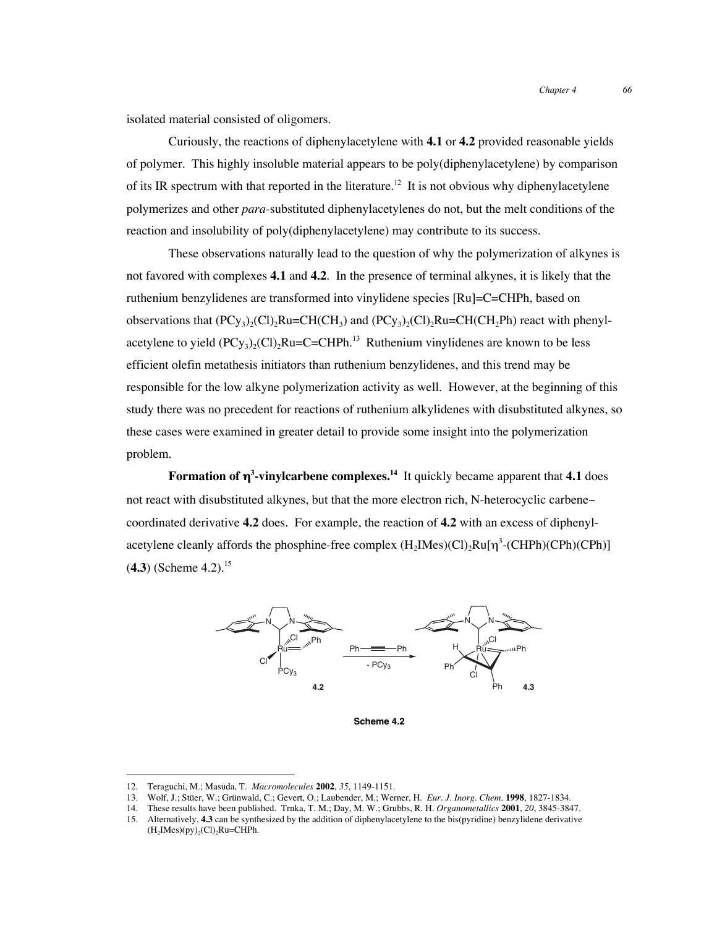*Chapter 4 66*

isolated material consisted of oligomers.

Curiously, the reactions of diphenylacetylene with **4.1** or **4.2** provided reasonable yields of polymer. This highly insoluble material appears to be poly(diphenylacetylene) by comparison of its IR spectrum with that reported in the literature.<sup>12</sup> It is not obvious why diphenylacetylene polymerizes and other *para*-substituted diphenylacetylenes do not, but the melt conditions of the reaction and insolubility of poly(diphenylacetylene) may contribute to its success.

These observations naturally lead to the question of why the polymerization of alkynes is not favored with complexes **4.1** and **4.2**. In the presence of terminal alkynes, it is likely that the ruthenium benzylidenes are transformed into vinylidene species [Ru]=C=CHPh, based on observations that  $(PCy_3)_2(Cl)$ <sub>2</sub>Ru=CH(CH<sub>3</sub>) and  $(PCy_3)_2(Cl)$ <sub>2</sub>Ru=CH(CH<sub>2</sub>Ph) react with phenylacetylene to yield  $(PC_{y_3})_2(C_1)$ <sub>2</sub>Ru=C=CHPh.<sup>13</sup> Ruthenium vinylidenes are known to be less efficient olefin metathesis initiators than ruthenium benzylidenes, and this trend may be responsible for the low alkyne polymerization activity as well. However, at the beginning of this study there was no precedent for reactions of ruthenium alkylidenes with disubstituted alkynes, so these cases were examined in greater detail to provide some insight into the polymerization problem.

**Formation of** η**<sup>3</sup> -vinylcarbene complexes.14** It quickly became apparent that **4.1** does not react with disubstituted alkynes, but that the more electron rich, N-heterocyclic carbene− coordinated derivative **4.2** does. For example, the reaction of **4.2** with an excess of diphenylacetylene cleanly affords the phosphine-free complex  $(H_2Mes)$ (Cl)<sub>2</sub>Ru[ $\eta$ <sup>3</sup>-(CHPh)(CPh)(CPh)]  $(4.3)$  (Scheme 4.2).<sup>15</sup>



**Scheme 4.2**

 <sup>12.</sup> Teraguchi, M.; Masuda, T. *Macromolecules* **<sup>2002</sup>**, *35*, 1149-1151.

<sup>13.</sup> Wolf, J.; Stüer, W.; Grünwald, C.; Gevert, O.; Laubender, M.; Werner, H. *Eur. J. Inorg. Chem.* **1998**, 1827-1834.

<sup>14.</sup> These results have been published. Trnka, T. M.; Day, M. W.; Grubbs, R. H. *Organometallics* **2001**, *20*, 3845-3847.

<sup>15.</sup> Alternatively, **4.3** can be synthesized by the addition of diphenylacetylene to the bis(pyridine) benzylidene derivative  $(H<sub>2</sub>IMes)(py)<sub>2</sub>(Cl)<sub>2</sub>Ru=CHPh.$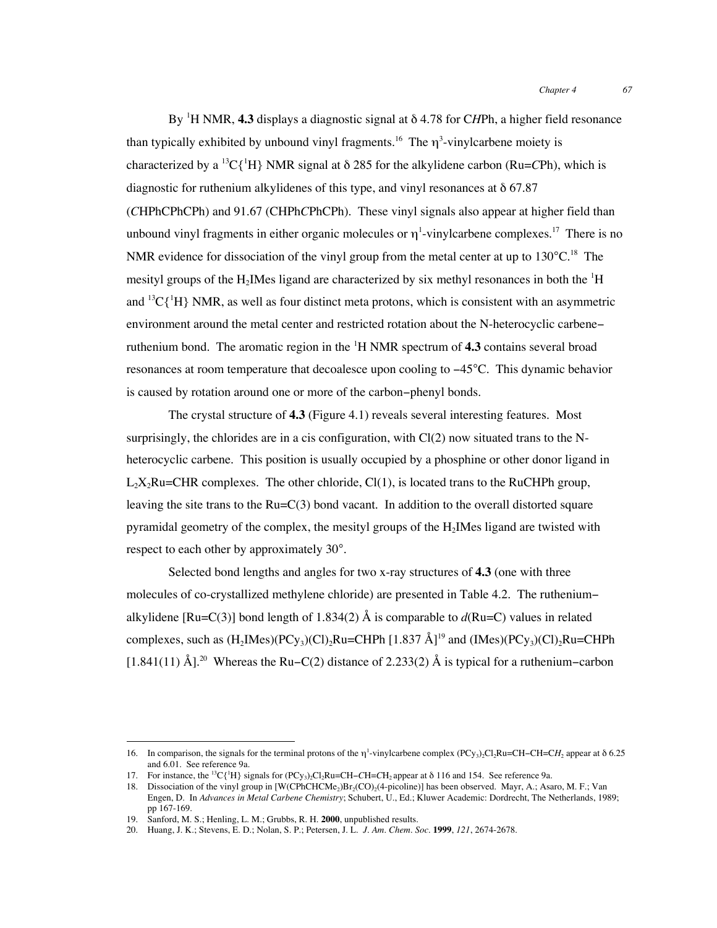By <sup>1</sup> H NMR, **4.3** displays a diagnostic signal at δ 4.78 for C*H*Ph, a higher field resonance than typically exhibited by unbound vinyl fragments.<sup>16</sup> The  $\eta^3$ -vinylcarbene moiety is characterized by a 13C{1 H} NMR signal at δ 285 for the alkylidene carbon (Ru=*C*Ph), which is diagnostic for ruthenium alkylidenes of this type, and vinyl resonances at  $\delta$  67.87 (*C*HPhCPhCPh) and 91.67 (CHPh*C*PhCPh). These vinyl signals also appear at higher field than unbound vinyl fragments in either organic molecules or  $\eta$ <sup>1</sup>-vinylcarbene complexes.<sup>17</sup> There is no NMR evidence for dissociation of the vinyl group from the metal center at up to  $130^{\circ}$ C.<sup>18</sup> The mesityl groups of the  $H_2$ IMes ligand are characterized by six methyl resonances in both the  ${}^{1}H$ and  ${}^{13}C[{^1}H]$  NMR, as well as four distinct meta protons, which is consistent with an asymmetric environment around the metal center and restricted rotation about the N-heterocyclic carbene− ruthenium bond. The aromatic region in the <sup>1</sup>H NMR spectrum of 4.3 contains several broad resonances at room temperature that decoalesce upon cooling to −45°C. This dynamic behavior is caused by rotation around one or more of the carbon−phenyl bonds.

The crystal structure of **4.3** (Figure 4.1) reveals several interesting features. Most surprisingly, the chlorides are in a cis configuration, with Cl(2) now situated trans to the Nheterocyclic carbene. This position is usually occupied by a phosphine or other donor ligand in  $L_2X_2Ru=CHR$  complexes. The other chloride, Cl(1), is located trans to the RuCHPh group, leaving the site trans to the  $Ru=C(3)$  bond vacant. In addition to the overall distorted square pyramidal geometry of the complex, the mesityl groups of the  $H_2$ IMes ligand are twisted with respect to each other by approximately 30°.

Selected bond lengths and angles for two x-ray structures of **4.3** (one with three molecules of co-crystallized methylene chloride) are presented in Table 4.2. The ruthenium− alkylidene [Ru=C(3)] bond length of 1.834(2)  $\AA$  is comparable to  $d(Ru=C)$  values in related complexes, such as  $(H_2Mes)(PCv_3)(Cl)_2Ru=CHPh [1.837 \text{ Å}]^{19}$  and  $(IMes)(PCv_3)(Cl)_2Ru=CHPh$ [1.841(11) Å].<sup>20</sup> Whereas the Ru–C(2) distance of 2.233(2) Å is typical for a ruthenium–carbon

<sup>16.</sup> In comparison, the signals for the terminal protons of the η<sup>1</sup>-vinylcarbene complex (PCy<sub>3</sub>)<sub>2</sub>Cl<sub>2</sub>Ru=CH−CH=C*H*<sub>2</sub> appear at δ 6.25 and 6.01. See reference 9a.

<sup>17.</sup> For instance, the <sup>13</sup>C{<sup>1</sup>H} signals for (PCy<sub>3</sub>)<sub>2</sub>Cl<sub>2</sub>Ru=CH−*CH*<sub>2</sub> appear at δ 116 and 154. See reference 9a.

<sup>18.</sup> Dissociation of the vinyl group in [W(CPhCHCMe<sub>2</sub>)Br<sub>2</sub>(CO)<sub>2</sub>(4-picoline)] has been observed. Mayr, A.; Asaro, M. F.; Van Engen, D. In *Advances in Metal Carbene Chemistry*; Schubert, U., Ed.; Kluwer Academic: Dordrecht, The Netherlands, 1989; pp 167-169.

<sup>19.</sup> Sanford, M. S.; Henling, L. M.; Grubbs, R. H. **2000**, unpublished results.

<sup>20.</sup> Huang, J. K.; Stevens, E. D.; Nolan, S. P.; Petersen, J. L. *J. Am. Chem. Soc.* **1999**, *121*, 2674-2678.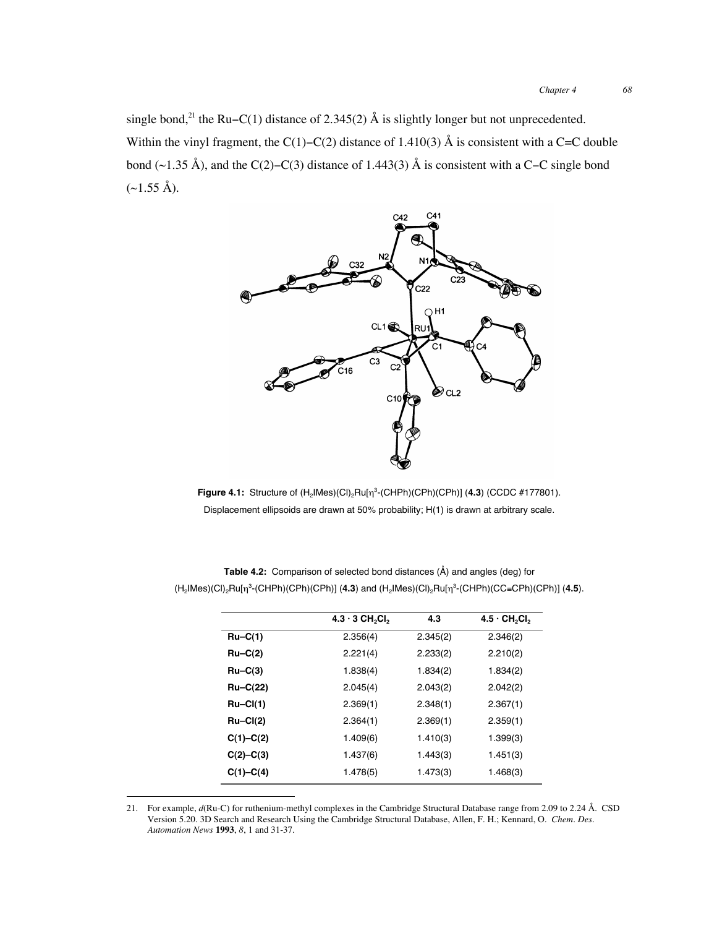single bond,<sup>21</sup> the Ru–C(1) distance of 2.345(2) Å is slightly longer but not unprecedented. Within the vinyl fragment, the C(1)–C(2) distance of 1.410(3) Å is consistent with a C=C double bond (~1.35 Å), and the C(2)−C(3) distance of 1.443(3) Å is consistent with a C−C single bond  $(\sim1.55 \text{ Å})$ .



**Figure 4.1:** Structure of  $(H_2 | Mes)(Cl)_2 Ru[\eta^3-(CHPh)(CPh)(CPh)]$  (4.3) (CCDC #177801). Displacement ellipsoids are drawn at 50% probability; H(1) is drawn at arbitrary scale.

|               | $4.3 \cdot 3$ CH <sub>2</sub> Cl <sub>2</sub> | 4.3      | $4.5 \cdot \text{CH}_2\text{Cl}_2$ |
|---------------|-----------------------------------------------|----------|------------------------------------|
| $Ru-C(1)$     | 2.356(4)                                      | 2.345(2) | 2.346(2)                           |
| $Ru-C(2)$     | 2.221(4)                                      | 2.233(2) | 2.210(2)                           |
| $Ru-C(3)$     | 1.838(4)                                      | 1.834(2) | 1.834(2)                           |
| $Ru-C(22)$    | 2.045(4)                                      | 2.043(2) | 2.042(2)                           |
| $Ru-CI(1)$    | 2.369(1)                                      | 2.348(1) | 2.367(1)                           |
| $Ru-CI(2)$    | 2.364(1)                                      | 2.369(1) | 2.359(1)                           |
| $C(1)-C(2)$   | 1.409(6)                                      | 1.410(3) | 1.399(3)                           |
| $C(2) - C(3)$ | 1.437(6)                                      | 1.443(3) | 1.451(3)                           |
| $C(1)-C(4)$   | 1.478(5)                                      | 1.473(3) | 1.468(3)                           |

**Table 4.2:** Comparison of selected bond distances (Å) and angles (deg) for (H2IMes)(Cl)2Ru[η<sup>3</sup> -(CHPh)(CPh)(CPh)] (**4.3**) and (H2IMes)(Cl)2Ru[η<sup>3</sup> -(CHPh)(CC≡CPh)(CPh)] (**4.5**).

 <sup>21.</sup> For example, *d*(Ru-C) for ruthenium-methyl complexes in the Cambridge Structural Database range from 2.09 to 2.24 Å. CSD Version 5.20. 3D Search and Research Using the Cambridge Structural Database, Allen, F. H.; Kennard, O. *Chem. Des. Automation News* **1993**, *8*, 1 and 31-37.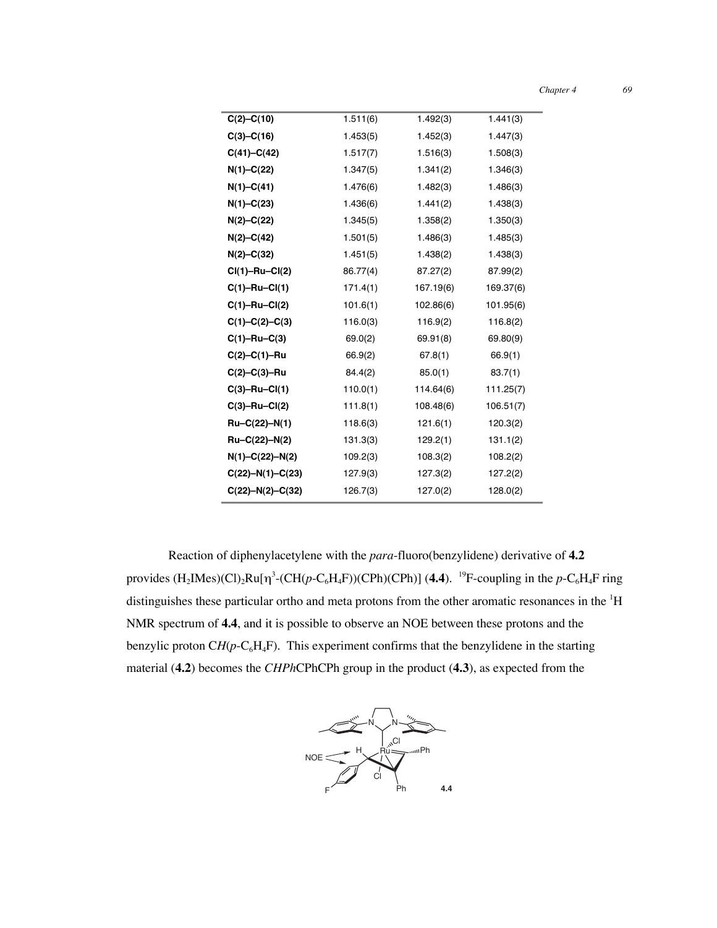| Chapter 4 |  |
|-----------|--|
|-----------|--|

*Chapter 4 69*

| $C(2)-C(10)$           | 1.511(6) | 1.492(3)  | 1.441(3)  |
|------------------------|----------|-----------|-----------|
| $C(3)-C(16)$           | 1.453(5) | 1.452(3)  | 1.447(3)  |
| $C(41) - C(42)$        | 1.517(7) | 1.516(3)  | 1.508(3)  |
| $N(1)-C(22)$           | 1.347(5) | 1.341(2)  | 1.346(3)  |
| $N(1)-C(41)$           | 1.476(6) | 1.482(3)  | 1.486(3)  |
| $N(1)-C(23)$           | 1.436(6) | 1.441(2)  | 1.438(3)  |
| $N(2) - C(22)$         | 1.345(5) | 1.358(2)  | 1.350(3)  |
| $N(2) - C(42)$         | 1.501(5) | 1.486(3)  | 1.485(3)  |
| $N(2) - C(32)$         | 1.451(5) | 1.438(2)  | 1.438(3)  |
| $Cl(1)-Ru-Cl(2)$       | 86.77(4) | 87.27(2)  | 87.99(2)  |
| $C(1) - Ru - Cl(1)$    | 171.4(1) | 167.19(6) | 169.37(6) |
| $C(1) - Ru - Cl(2)$    | 101.6(1) | 102.86(6) | 101.95(6) |
| $C(1)-C(2)-C(3)$       | 116.0(3) | 116.9(2)  | 116.8(2)  |
| $C(1) - Ru - C(3)$     | 69.0(2)  | 69.91(8)  | 69.80(9)  |
| $C(2)-C(1)-Ru$         | 66.9(2)  | 67.8(1)   | 66.9(1)   |
| $C(2)-C(3)-Ru$         | 84.4(2)  | 85.0(1)   | 83.7(1)   |
| $C(3) - Ru - Cl(1)$    | 110.0(1) | 114.64(6) | 111.25(7) |
| $C(3)-Ru-CI(2)$        | 111.8(1) | 108.48(6) | 106.51(7) |
| $Ru-C(22)-N(1)$        | 118.6(3) | 121.6(1)  | 120.3(2)  |
| $Ru-C(22)-N(2)$        | 131.3(3) | 129.2(1)  | 131.1(2)  |
| $N(1)-C(22)-N(2)$      | 109.2(3) | 108.3(2)  | 108.2(2)  |
| $C(22) - N(1) - C(23)$ | 127.9(3) | 127.3(2)  | 127.2(2)  |
| $C(22)-N(2)-C(32)$     | 126.7(3) | 127.0(2)  | 128.0(2)  |

Reaction of diphenylacetylene with the *para*-fluoro(benzylidene) derivative of **4.2** provides  $(H_2IMes)$ (Cl)<sub>2</sub>Ru[ $\eta^3$ -(CH( $p$ -C<sub>6</sub>H<sub>4</sub>F))(CPh)(CPh)] (4.4). <sup>19</sup>F-coupling in the  $p$ -C<sub>6</sub>H<sub>4</sub>F ring distinguishes these particular ortho and meta protons from the other aromatic resonances in the <sup>1</sup>H NMR spectrum of **4.4**, and it is possible to observe an NOE between these protons and the benzylic proton  $CH(p-C_6H_4F)$ . This experiment confirms that the benzylidene in the starting material (**4.2**) becomes the *CHPh*CPhCPh group in the product (**4.3**), as expected from the

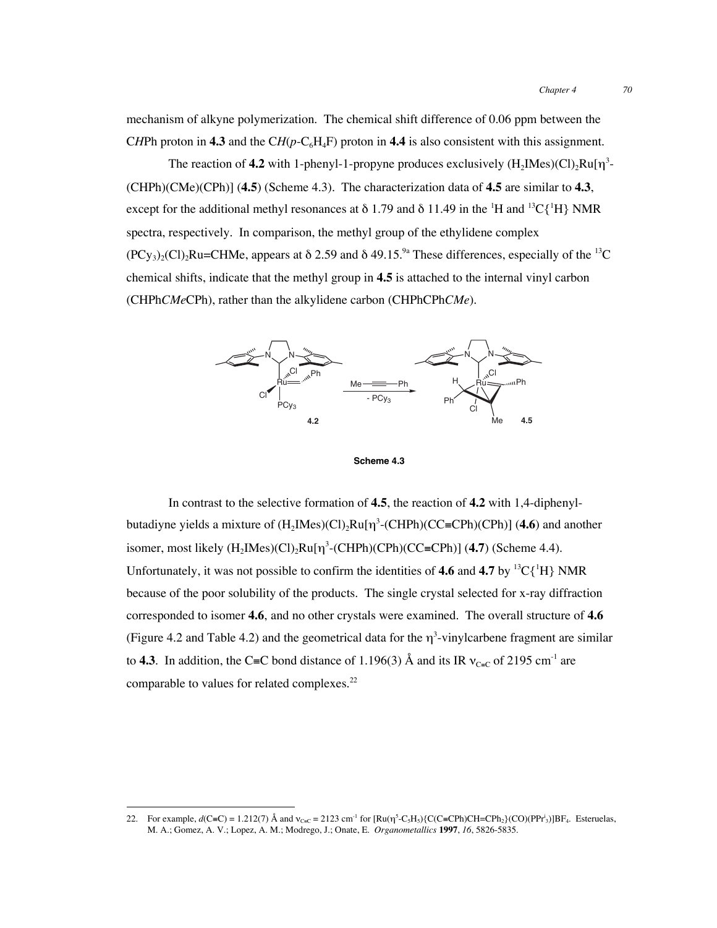mechanism of alkyne polymerization. The chemical shift difference of 0.06 ppm between the CHPh proton in 4.3 and the CH( $p$ -C<sub>6</sub>H<sub>4</sub>F) proton in 4.4 is also consistent with this assignment.

The reaction of **4.2** with 1-phenyl-1-propyne produces exclusively  $(H_2Mes)(Cl)_2Ru[\eta^3-$ (CHPh)(CMe)(CPh)] (**4.5**) (Scheme 4.3). The characterization data of **4.5** are similar to **4.3**, except for the additional methyl resonances at  $\delta$  1.79 and  $\delta$  11.49 in the <sup>1</sup>H and <sup>13</sup>C{<sup>1</sup>H} NMR spectra, respectively. In comparison, the methyl group of the ethylidene complex  $(PCy_3)_2(Cl)$ <sub>2</sub>Ru=CHMe, appears at  $\delta$  2.59 and  $\delta$  49.15.<sup>9</sup> These differences, especially of the <sup>13</sup>C chemical shifts, indicate that the methyl group in **4.5** is attached to the internal vinyl carbon (CHPh*CMe*CPh), rather than the alkylidene carbon (CHPhCPh*CMe*).



**Scheme 4.3**

In contrast to the selective formation of **4.5**, the reaction of **4.2** with 1,4-diphenylbutadiyne yields a mixture of (H<sub>2</sub>IMes)(Cl)<sub>2</sub>Ru[η<sup>3</sup>-(CHPh)(CC≡CPh)(CPh)] (**4.6**) and another isomer, most likely  $(H_2Mes)(Cl)_2Ru[\eta^3-(CHPh)(CPh)(CC=CPh)]$  (4.7) (Scheme 4.4). Unfortunately, it was not possible to confirm the identities of 4.6 and 4.7 by  ${}^{13}C\{{}^{1}H\}$  NMR because of the poor solubility of the products. The single crystal selected for x-ray diffraction corresponded to isomer **4.6**, and no other crystals were examined. The overall structure of **4.6** (Figure 4.2 and Table 4.2) and the geometrical data for the  $\eta^3$ -vinylcarbene fragment are similar to **4.3**. In addition, the C≡C bond distance of 1.196(3) Å and its IR  $v_{C=C}$  of 2195 cm<sup>-1</sup> are comparable to values for related complexes.<sup>22</sup>

<sup>22.</sup> For example,  $d(C=C) = 1.212(7)$  Å and  $v_{C=C} = 2123$  cm<sup>-1</sup> for  $[Ru(\eta^5-C_5H_5)\{C(C=CPh)CH=CPh_2\}(CO)(PPr_3)]BF_4$ . Esteruelas, M. A.; Gomez, A. V.; Lopez, A. M.; Modrego, J.; Onate, E. *Organometallics* **1997**, *16*, 5826-5835.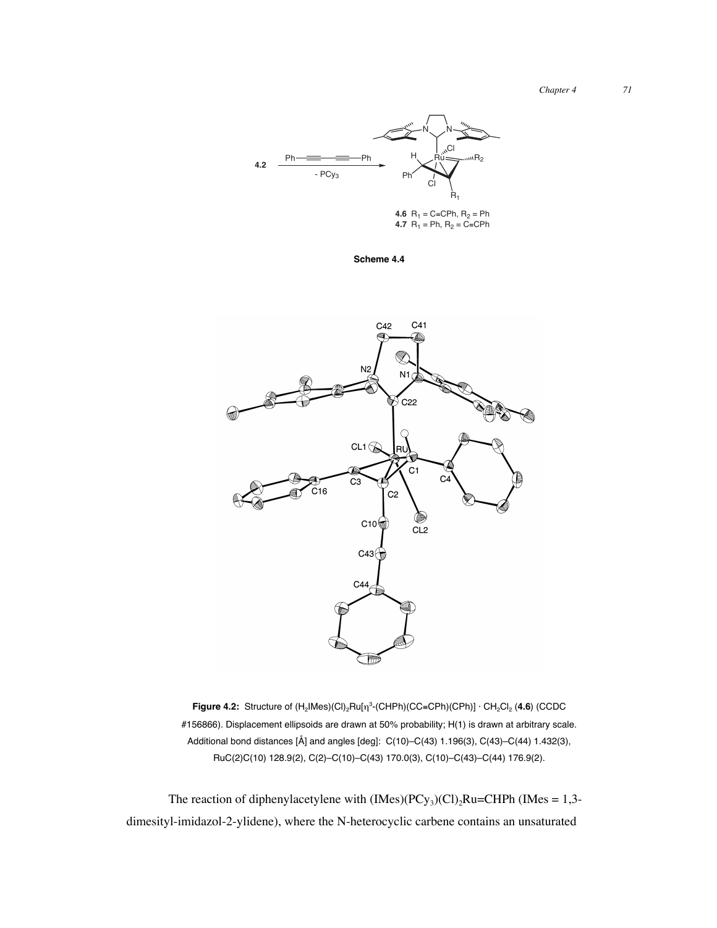

**Scheme 4.4**



**Figure 4.2:** Structure of (H<sub>2</sub>IMes)(Cl)<sub>2</sub>Ru[η<sup>3</sup>-(CHPh)(CC≡CPh)(CPh)] · CH<sub>2</sub>Cl<sub>2</sub> (4.6) (CCDC #156866). Displacement ellipsoids are drawn at 50% probability; H(1) is drawn at arbitrary scale. Additional bond distances [Å] and angles [deg]: C(10)–C(43) 1.196(3), C(43)–C(44) 1.432(3), RuC(2)C(10) 128.9(2), C(2)–C(10)–C(43) 170.0(3), C(10)–C(43)–C(44) 176.9(2).

The reaction of diphenylacetylene with  $(Imes)(PCy_3)(Cl)$ <sub>2</sub>Ru=CHPh (IMes = 1,3dimesityl-imidazol-2-ylidene), where the N-heterocyclic carbene contains an unsaturated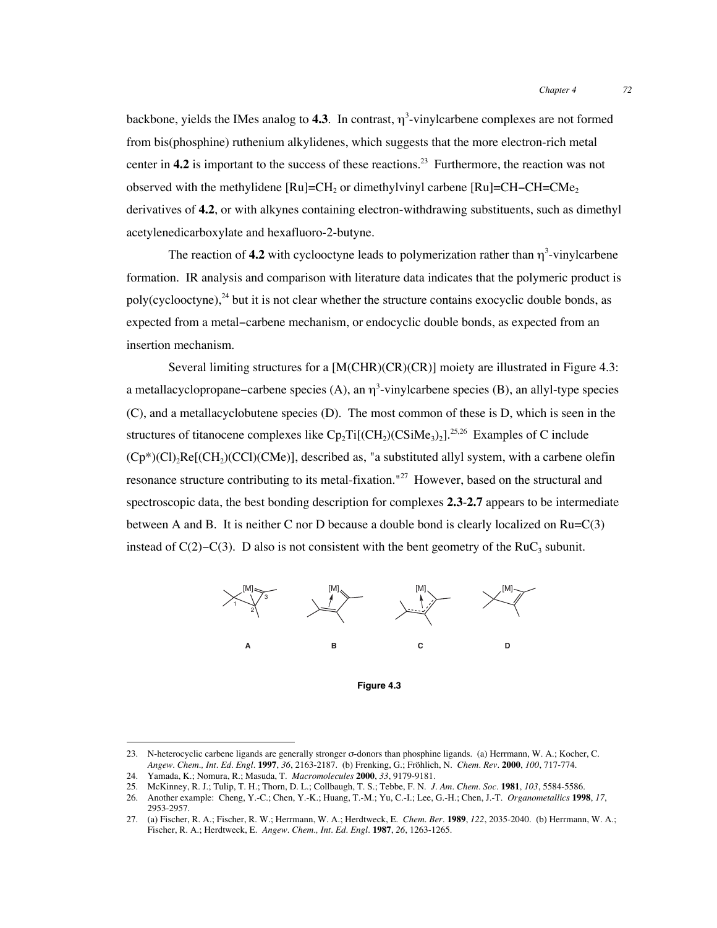backbone, yields the IMes analog to  $4.3$ . In contrast,  $\eta^3$ -vinylcarbene complexes are not formed from bis(phosphine) ruthenium alkylidenes, which suggests that the more electron-rich metal center in **4.2** is important to the success of these reactions.<sup>23</sup> Furthermore, the reaction was not observed with the methylidene  $\text{[Ru]}$ =CH<sub>2</sub> or dimethylvinyl carbene  $\text{[Ru]}$ =CH–CH=CMe<sub>2</sub> derivatives of **4.2**, or with alkynes containing electron-withdrawing substituents, such as dimethyl acetylenedicarboxylate and hexafluoro-2-butyne.

The reaction of 4.2 with cyclooctyne leads to polymerization rather than  $\eta^3$ -vinylcarbene formation. IR analysis and comparison with literature data indicates that the polymeric product is poly(cyclooctyne), $^{24}$  but it is not clear whether the structure contains exocyclic double bonds, as expected from a metal−carbene mechanism, or endocyclic double bonds, as expected from an insertion mechanism.

Several limiting structures for a [M(CHR)(CR)(CR)] moiety are illustrated in Figure 4.3: a metallacyclopropane–carbene species (A), an  $\eta^3$ -vinylcarbene species (B), an allyl-type species (C), and a metallacyclobutene species (D). The most common of these is D, which is seen in the structures of titanocene complexes like  $C_p$ Ti $[(CH_2)(CSiMe_3)_2]$ <sup>25,26</sup> Examples of C include  $(Cp^*)(Cl)_2Re[(CH_2)(CCl)(CMe)]$ , described as, "a substituted allyl system, with a carbene olefin resonance structure contributing to its metal-fixation.<sup>"27</sup> However, based on the structural and spectroscopic data, the best bonding description for complexes **2.3**-**2.7** appears to be intermediate between A and B. It is neither C nor D because a double bond is clearly localized on Ru=C(3) instead of  $C(2)-C(3)$ . D also is not consistent with the bent geometry of the RuC<sub>3</sub> subunit.



**Figure 4.3**

 <sup>23.</sup> N-heterocyclic carbene ligands are generally stronger σ-donors than phosphine ligands. (a) Herrmann, W. A.; Kocher, C. *Angew. Chem., Int. Ed. Engl.* **1997**, *36*, 2163-2187. (b) Frenking, G.; Fröhlich, N. *Chem. Rev.* **2000**, *100*, 717-774.

<sup>24.</sup> Yamada, K.; Nomura, R.; Masuda, T. *Macromolecules* **2000**, *33*, 9179-9181.

<sup>25.</sup> McKinney, R. J.; Tulip, T. H.; Thorn, D. L.; Collbaugh, T. S.; Tebbe, F. N. *J. Am. Chem. Soc.* **1981**, *103*, 5584-5586.

<sup>26.</sup> Another example: Cheng, Y.-C.; Chen, Y.-K.; Huang, T.-M.; Yu, C.-I.; Lee, G.-H.; Chen, J.-T. *Organometallics* **1998**, *17*, 2953-2957.

<sup>27.</sup> (a) Fischer, R. A.; Fischer, R. W.; Herrmann, W. A.; Herdtweck, E. *Chem. Ber.* **1989**, *122*, 2035-2040. (b) Herrmann, W. A.; Fischer, R. A.; Herdtweck, E. *Angew. Chem., Int. Ed. Engl.* **1987**, *26*, 1263-1265.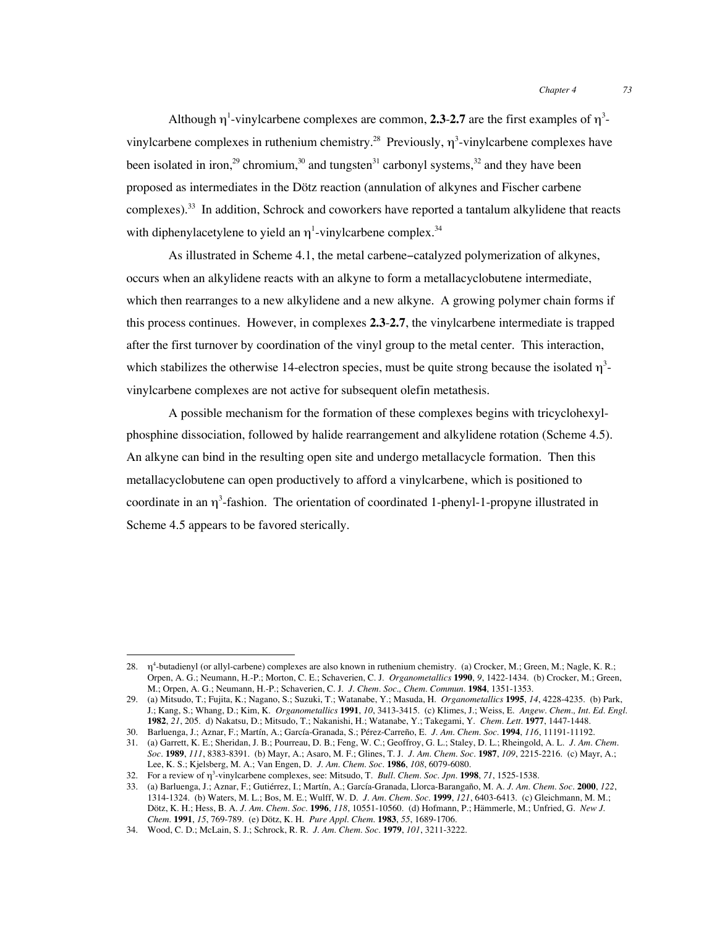Although  $\eta^1$ -vinylcarbene complexes are common, **2.3-2.7** are the first examples of  $\eta^3$ vinylcarbene complexes in ruthenium chemistry.<sup>28</sup> Previously,  $\eta^3$ -vinylcarbene complexes have been isolated in iron,<sup>29</sup> chromium,<sup>30</sup> and tungsten<sup>31</sup> carbonyl systems,<sup>32</sup> and they have been proposed as intermediates in the Dötz reaction (annulation of alkynes and Fischer carbene complexes).<sup>33</sup> In addition, Schrock and coworkers have reported a tantalum alkylidene that reacts with diphenylacetylene to yield an  $\eta$ <sup>1</sup>-vinylcarbene complex.<sup>34</sup>

As illustrated in Scheme 4.1, the metal carbene−catalyzed polymerization of alkynes, occurs when an alkylidene reacts with an alkyne to form a metallacyclobutene intermediate, which then rearranges to a new alkylidene and a new alkyne. A growing polymer chain forms if this process continues. However, in complexes **2.3**-**2.7**, the vinylcarbene intermediate is trapped after the first turnover by coordination of the vinyl group to the metal center. This interaction, which stabilizes the otherwise 14-electron species, must be quite strong because the isolated  $\eta^3$ vinylcarbene complexes are not active for subsequent olefin metathesis.

A possible mechanism for the formation of these complexes begins with tricyclohexylphosphine dissociation, followed by halide rearrangement and alkylidene rotation (Scheme 4.5). An alkyne can bind in the resulting open site and undergo metallacycle formation. Then this metallacyclobutene can open productively to afford a vinylcarbene, which is positioned to coordinate in an  $\eta^3$ -fashion. The orientation of coordinated 1-phenyl-1-propyne illustrated in Scheme 4.5 appears to be favored sterically.

 <sup>28.</sup> <sup>η</sup><sup>4</sup> -butadienyl (or allyl-carbene) complexes are also known in ruthenium chemistry. (a) Crocker, M.; Green, M.; Nagle, K. R.; Orpen, A. G.; Neumann, H.-P.; Morton, C. E.; Schaverien, C. J. *Organometallics* **1990**, *9*, 1422-1434. (b) Crocker, M.; Green, M.; Orpen, A. G.; Neumann, H.-P.; Schaverien, C. J. *J. Chem. Soc., Chem. Commun.* **1984**, 1351-1353.

<sup>29.</sup> (a) Mitsudo, T.; Fujita, K.; Nagano, S.; Suzuki, T.; Watanabe, Y.; Masuda, H. *Organometallics* **1995**, *14*, 4228-4235. (b) Park, J.; Kang, S.; Whang, D.; Kim, K. *Organometallics* **1991**, *10*, 3413-3415. (c) Klimes, J.; Weiss, E. *Angew. Chem., Int. Ed. Engl.* **1982**, *21*, 205. d) Nakatsu, D.; Mitsudo, T.; Nakanishi, H.; Watanabe, Y.; Takegami, Y. *Chem. Lett.* **1977**, 1447-1448.

<sup>30.</sup> Barluenga, J.; Aznar, F.; Martín, A.; García-Granada, S.; Pérez-Carreño, E. *J. Am. Chem. Soc.* **1994**, *116*, 11191-11192.

<sup>31.</sup> (a) Garrett, K. E.; Sheridan, J. B.; Pourreau, D. B.; Feng, W. C.; Geoffroy, G. L.; Staley, D. L.; Rheingold, A. L. *J. Am. Chem. Soc.* **1989**, *111*, 8383-8391. (b) Mayr, A.; Asaro, M. F.; Glines, T. J. *J. Am. Chem. Soc.* **1987**, *109*, 2215-2216. (c) Mayr, A.; Lee, K. S.; Kjelsberg, M. A.; Van Engen, D. *J. Am. Chem. Soc.* **1986**, *108*, 6079-6080.

<sup>32.</sup> For a review of η<sup>3</sup> -vinylcarbene complexes, see: Mitsudo, T. *Bull. Chem. Soc. Jpn.* **1998**, *71*, 1525-1538.

<sup>33.</sup> (a) Barluenga, J.; Aznar, F.; Gutiérrez, I.; Martín, A.; García-Granada, Llorca-Barangaño, M. A. *J. Am. Chem. Soc.* **2000**, *122*, 1314-1324. (b) Waters, M. L.; Bos, M. E.; Wulff, W. D. *J. Am. Chem. Soc.* **1999**, *121*, 6403-6413. (c) Gleichmann, M. M.; Dötz, K. H.; Hess, B. A. *J. Am. Chem. Soc.* **1996**, *118*, 10551-10560. (d) Hofmann, P.; Hämmerle, M.; Unfried, G. *New J. Chem.* **1991**, *15*, 769-789. (e) Dötz, K. H. *Pure Appl. Chem.* **1983**, *55*, 1689-1706.

<sup>34.</sup> Wood, C. D.; McLain, S. J.; Schrock, R. R. *J. Am. Chem. Soc.* **1979**, *101*, 3211-3222.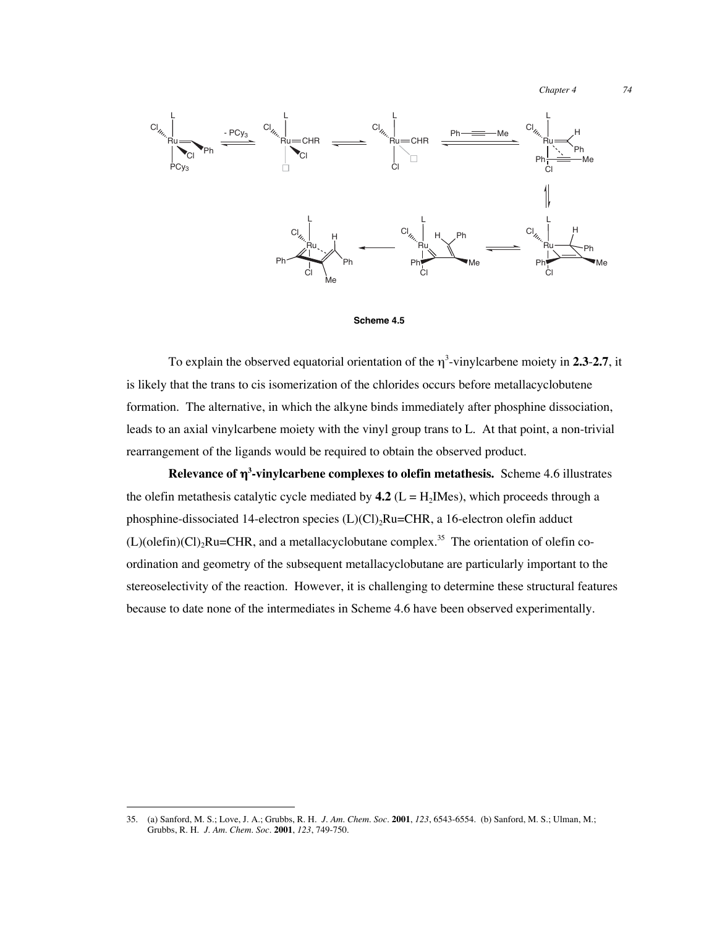*Chapter 4 74*



#### **Scheme 4.5**

To explain the observed equatorial orientation of the η<sup>3</sup> -vinylcarbene moiety in **2.3**-**2.7**, it is likely that the trans to cis isomerization of the chlorides occurs before metallacyclobutene formation. The alternative, in which the alkyne binds immediately after phosphine dissociation, leads to an axial vinylcarbene moiety with the vinyl group trans to L. At that point, a non-trivial rearrangement of the ligands would be required to obtain the observed product.

**Relevance of** η**<sup>3</sup> -vinylcarbene complexes to olefin metathesis.** Scheme 4.6 illustrates the olefin metathesis catalytic cycle mediated by  $4.2$  (L = H<sub>2</sub>IMes), which proceeds through a phosphine-dissociated 14-electron species  $(L)(Cl)$ ,  $Ru=CHR$ , a 16-electron olefin adduct  $(L)$ (olefin) $(Cl)$ <sub>2</sub>Ru=CHR, and a metallacyclobutane complex.<sup>35</sup> The orientation of olefin coordination and geometry of the subsequent metallacyclobutane are particularly important to the stereoselectivity of the reaction. However, it is challenging to determine these structural features because to date none of the intermediates in Scheme 4.6 have been observed experimentally.

 <sup>35.</sup> (a) Sanford, M. S.; Love, J. A.; Grubbs, R. H. *J. Am. Chem. Soc.* **2001**, *123*, 6543-6554. (b) Sanford, M. S.; Ulman, M.; Grubbs, R. H. *J. Am. Chem. Soc.* **2001**, *123*, 749-750.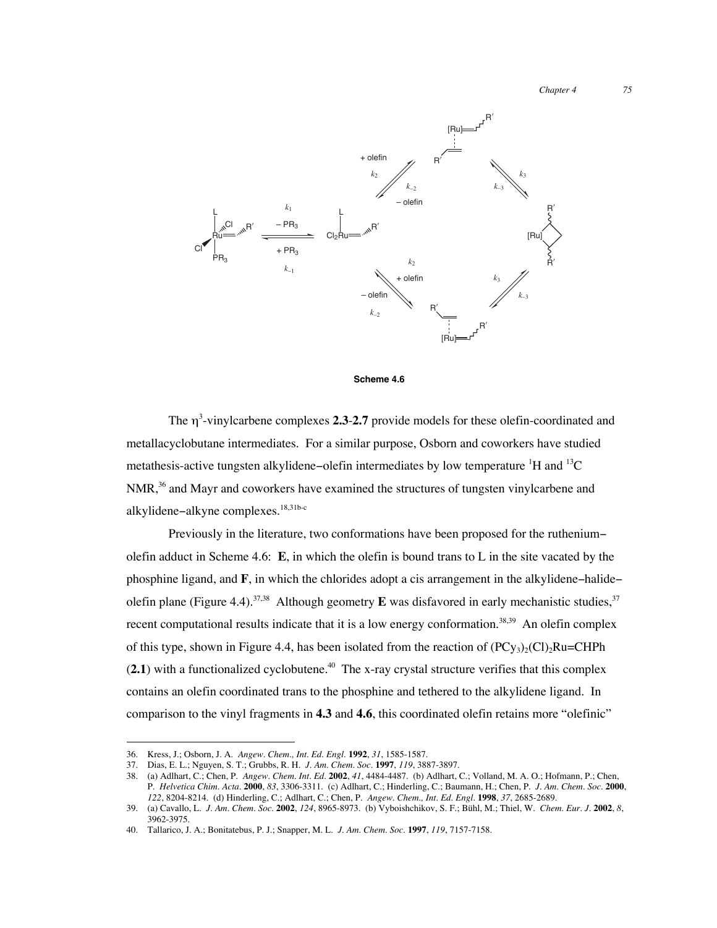*Chapter 4 75*



**Scheme 4.6**

The η<sup>3</sup> -vinylcarbene complexes **2.3**-**2.7** provide models for these olefin-coordinated and metallacyclobutane intermediates. For a similar purpose, Osborn and coworkers have studied metathesis-active tungsten alkylidene–olefin intermediates by low temperature  $^1$ H and  $^{13}$ C  $NMR<sub>1</sub><sup>36</sup>$  and Mayr and coworkers have examined the structures of tungsten vinylcarbene and alkylidene−alkyne complexes.18,31b-c

Previously in the literature, two conformations have been proposed for the ruthenium− olefin adduct in Scheme 4.6: **E**, in which the olefin is bound trans to L in the site vacated by the phosphine ligand, and **F**, in which the chlorides adopt a cis arrangement in the alkylidene−halide− olefin plane (Figure 4.4).<sup>37,38</sup> Although geometry **E** was disfavored in early mechanistic studies,<sup>37</sup> recent computational results indicate that it is a low energy conformation.<sup>38,39</sup> An olefin complex of this type, shown in Figure 4.4, has been isolated from the reaction of  $(PC_{y_3})_2(C_1)$ <sub>2</sub>Ru=CHPh  $(2.1)$  with a functionalized cyclobutene.<sup>40</sup> The x-ray crystal structure verifies that this complex contains an olefin coordinated trans to the phosphine and tethered to the alkylidene ligand. In comparison to the vinyl fragments in **4.3** and **4.6**, this coordinated olefin retains more "olefinic"

 <sup>36.</sup> Kress, J.; Osborn, J. A. *Angew. Chem., Int. Ed. Engl.* **<sup>1992</sup>**, *31*, 1585-1587.

<sup>37.</sup> Dias, E. L.; Nguyen, S. T.; Grubbs, R. H. *J. Am. Chem. Soc.* **1997**, *119*, 3887-3897.

<sup>38.</sup> (a) Adlhart, C.; Chen, P. *Angew. Chem. Int. Ed.* **2002**, *41*, 4484-4487. (b) Adlhart, C.; Volland, M. A. O.; Hofmann, P.; Chen, P. *Helvetica Chim. Acta.* **2000**, *83*, 3306-3311. (c) Adlhart, C.; Hinderling, C.; Baumann, H.; Chen, P. *J. Am. Chem. Soc.* **2000**, *122*, 8204-8214. (d) Hinderling, C.; Adlhart, C.; Chen, P. *Angew. Chem., Int. Ed. Engl.* **1998**, *37*, 2685-2689.

<sup>39.</sup> (a) Cavallo, L. *J. Am. Chem. Soc.* **2002**, *124*, 8965-8973. (b) Vyboishchikov, S. F.; Bühl, M.; Thiel, W. *Chem. Eur. J.* **2002**, *8*, 3962-3975.

<sup>40.</sup> Tallarico, J. A.; Bonitatebus, P. J.; Snapper, M. L. *J. Am. Chem. Soc.* **1997**, *119*, 7157-7158.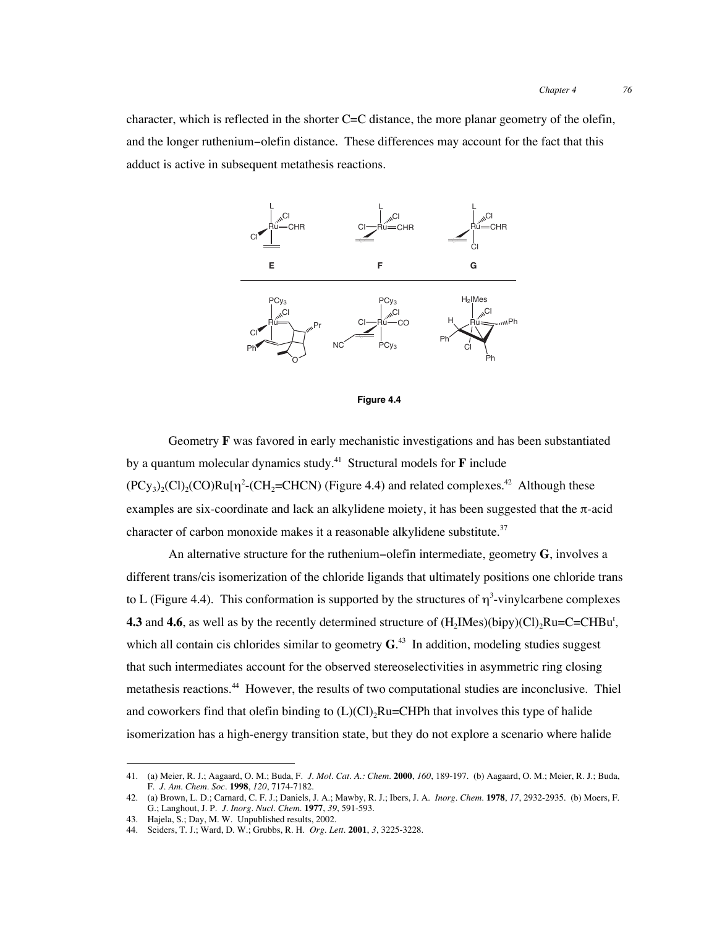character, which is reflected in the shorter C=C distance, the more planar geometry of the olefin, and the longer ruthenium−olefin distance. These differences may account for the fact that this adduct is active in subsequent metathesis reactions.





Geometry **F** was favored in early mechanistic investigations and has been substantiated by a quantum molecular dynamics study.<sup>41</sup> Structural models for  $\bf{F}$  include  $(PCy_3)_2(Cl)_2(CO)Ru[\eta^2-(CH_2=CHCN)$  (Figure 4.4) and related complexes.<sup>42</sup> Although these examples are six-coordinate and lack an alkylidene moiety, it has been suggested that the π-acid character of carbon monoxide makes it a reasonable alkylidene substitute.<sup>37</sup>

An alternative structure for the ruthenium−olefin intermediate, geometry **G**, involves a different trans/cis isomerization of the chloride ligands that ultimately positions one chloride trans to L (Figure 4.4). This conformation is supported by the structures of  $\eta^3$ -vinylcarbene complexes **4.3** and **4.6**, as well as by the recently determined structure of  $(H_2Mes)(bipy)(Cl)_2Ru=C=CHBu^t$ , which all contain cis chlorides similar to geometry **G**. 43 In addition, modeling studies suggest that such intermediates account for the observed stereoselectivities in asymmetric ring closing metathesis reactions.44 However, the results of two computational studies are inconclusive. Thiel and coworkers find that olefin binding to  $(L)(Cl)$ , Ru=CHPh that involves this type of halide isomerization has a high-energy transition state, but they do not explore a scenario where halide

 <sup>41.</sup> (a) Meier, R. J.; Aagaard, O. M.; Buda, F. *J. Mol. Cat. A.: Chem.* **<sup>2000</sup>**, *160*, 189-197. (b) Aagaard, O. M.; Meier, R. J.; Buda, F. *J. Am. Chem. Soc.* **1998**, *120*, 7174-7182.

<sup>42.</sup> (a) Brown, L. D.; Carnard, C. F. J.; Daniels, J. A.; Mawby, R. J.; Ibers, J. A. *Inorg. Chem.* **1978**, *17*, 2932-2935. (b) Moers, F. G.; Langhout, J. P. *J. Inorg. Nucl. Chem.* **1977**, *39*, 591-593.

<sup>43.</sup> Hajela, S.; Day, M. W. Unpublished results, 2002.

<sup>44.</sup> Seiders, T. J.; Ward, D. W.; Grubbs, R. H. *Org. Lett.* **2001**, *3*, 3225-3228.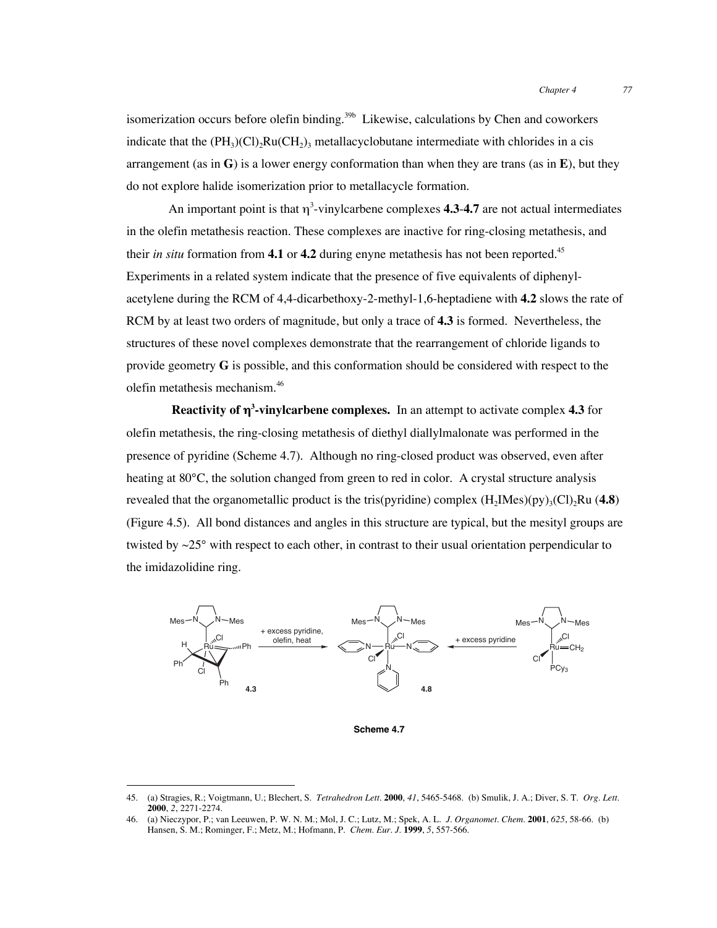isomerization occurs before olefin binding.<sup>39b</sup> Likewise, calculations by Chen and coworkers indicate that the  $(PH_3)(Cl)_2Ru(CH_2)_3$  metallacyclobutane intermediate with chlorides in a cis arrangement (as in **G**) is a lower energy conformation than when they are trans (as in **E**), but they do not explore halide isomerization prior to metallacycle formation.

An important point is that  $\eta^3$ -vinylcarbene complexes **4.3-4.7** are not actual intermediates in the olefin metathesis reaction. These complexes are inactive for ring-closing metathesis, and their *in situ* formation from **4.1** or **4.2** during enyne metathesis has not been reported.<sup>45</sup> Experiments in a related system indicate that the presence of five equivalents of diphenylacetylene during the RCM of 4,4-dicarbethoxy-2-methyl-1,6-heptadiene with **4.2** slows the rate of RCM by at least two orders of magnitude, but only a trace of **4.3** is formed. Nevertheless, the structures of these novel complexes demonstrate that the rearrangement of chloride ligands to provide geometry **G** is possible, and this conformation should be considered with respect to the olefin metathesis mechanism.<sup>46</sup>

**Reactivity of** η**<sup>3</sup> -vinylcarbene complexes.** In an attempt to activate complex **4.3** for olefin metathesis, the ring-closing metathesis of diethyl diallylmalonate was performed in the presence of pyridine (Scheme 4.7). Although no ring-closed product was observed, even after heating at 80°C, the solution changed from green to red in color. A crystal structure analysis revealed that the organometallic product is the tris(pyridine) complex  $(H_2IMes)(py)_3(Cl)_2Ru$  (4.8) (Figure 4.5). All bond distances and angles in this structure are typical, but the mesityl groups are twisted by  $\sim$ 25 $^{\circ}$  with respect to each other, in contrast to their usual orientation perpendicular to the imidazolidine ring.



**Scheme 4.7**

 <sup>45.</sup> (a) Stragies, R.; Voigtmann, U.; Blechert, S. *Tetrahedron Lett.* **<sup>2000</sup>**, *41*, 5465-5468. (b) Smulik, J. A.; Diver, S. T. *Org. Lett.* **2000**, *2*, 2271-2274.

<sup>46.</sup> (a) Nieczypor, P.; van Leeuwen, P. W. N. M.; Mol, J. C.; Lutz, M.; Spek, A. L. *J. Organomet. Chem.* **2001**, *625*, 58-66. (b) Hansen, S. M.; Rominger, F.; Metz, M.; Hofmann, P. *Chem. Eur. J.* **1999**, *5*, 557-566.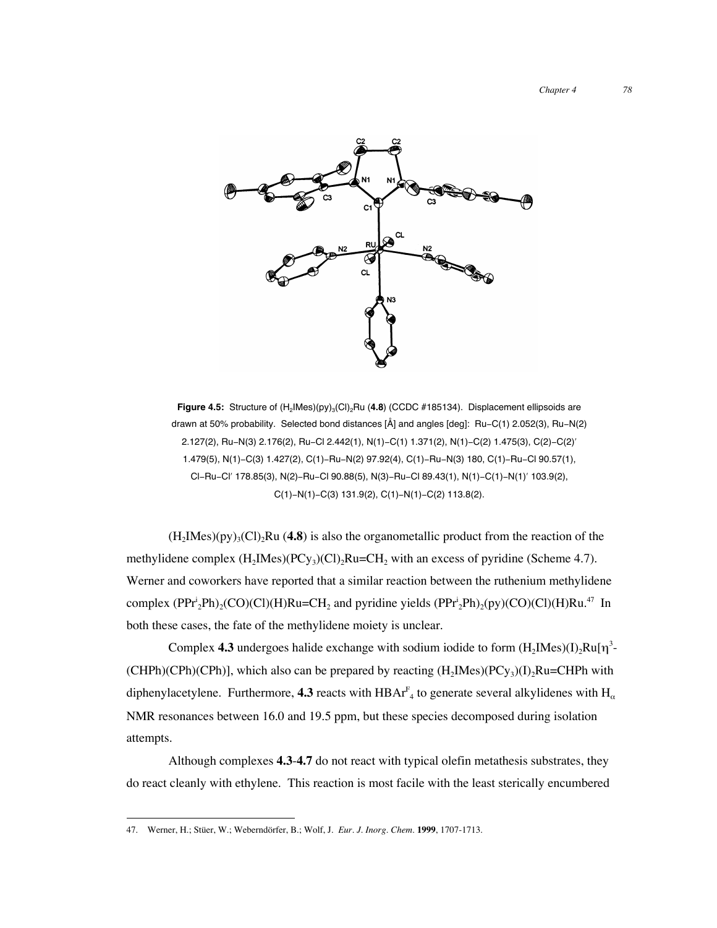

Figure 4.5: Structure of  $(H_2|Mes)(py)_3|Cl_2Ru$  (4.8) (CCDC #185134). Displacement ellipsoids are drawn at 50% probability. Selected bond distances [Å] and angles [deg]: Ru−C(1) 2.052(3), Ru−N(2) 2.127(2), Ru−N(3) 2.176(2), Ru−Cl 2.442(1), N(1)−C(1) 1.371(2), N(1)−C(2) 1.475(3), C(2)−C(2)′ 1.479(5), N(1)−C(3) 1.427(2), C(1)−Ru−N(2) 97.92(4), C(1)−Ru−N(3) 180, C(1)−Ru−Cl 90.57(1), Cl−Ru−Cl′ 178.85(3), N(2)−Ru−Cl 90.88(5), N(3)−Ru−Cl 89.43(1), N(1)−C(1)−N(1)′ 103.9(2), C(1)−N(1)−C(3) 131.9(2), C(1)−N(1)−C(2) 113.8(2).

 $(H<sub>2</sub>Mes)(py)<sub>3</sub>(Cl)$ , Ru (4.8) is also the organometallic product from the reaction of the methylidene complex  $(H_2IMes)(PCy_3)(Cl)_2Ru=CH_2$  with an excess of pyridine (Scheme 4.7). Werner and coworkers have reported that a similar reaction between the ruthenium methylidene complex  $(PPr_2^iPh)_2(CO)(Cl)(H)Ru=CH_2$  and pyridine yields  $(PPr_2^iPh)_2(py)(CO)(Cl)(H)Ru.<sup>47</sup> In$ both these cases, the fate of the methylidene moiety is unclear.

Complex 4.3 undergoes halide exchange with sodium iodide to form  $(H_2$ IMes $)(I)_2$ Ru $[\eta^3$ -(CHPh)(CPh)(CPh)], which also can be prepared by reacting  $(H_2Mes)(PCy_3)(I)_2Ru=CHPh$  with diphenylacetylene. Furthermore, **4.3** reacts with HBAr<sup>F</sup><sub>4</sub> to generate several alkylidenes with H<sub>α</sub> NMR resonances between 16.0 and 19.5 ppm, but these species decomposed during isolation attempts.

Although complexes **4.3**-**4.7** do not react with typical olefin metathesis substrates, they do react cleanly with ethylene. This reaction is most facile with the least sterically encumbered

 <sup>47.</sup> Werner, H.; Stüer, W.; Weberndörfer, B.; Wolf, J. *Eur. J. Inorg. Chem.* **<sup>1999</sup>**, 1707-1713.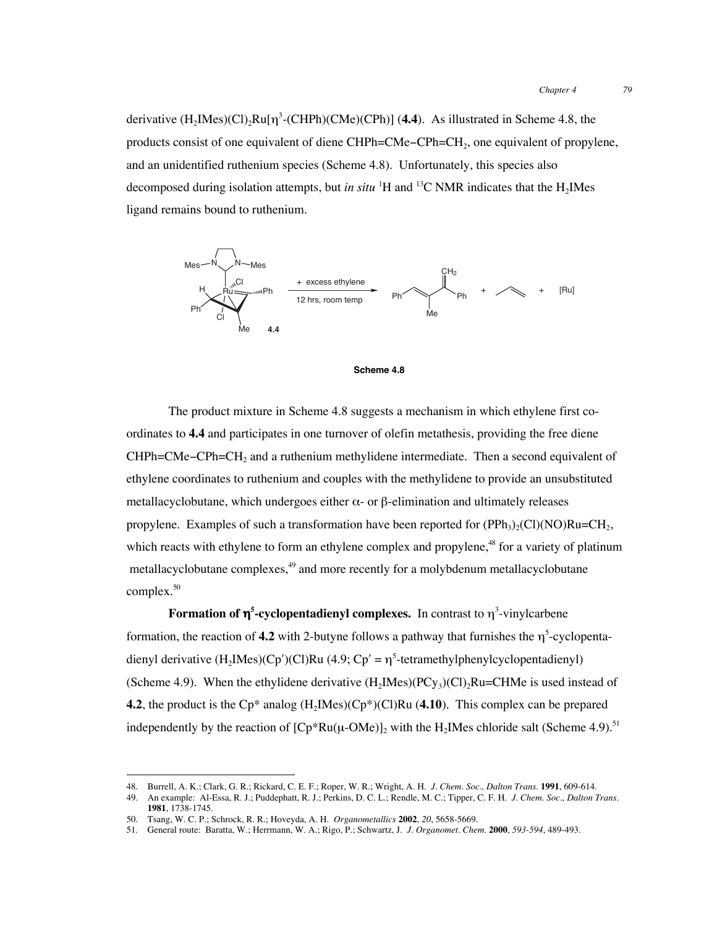derivative  $(H_2Mes)$ (Cl)<sub>2</sub>Ru[ $\eta^3$ -(CHPh)(CMe)(CPh)] (4.4). As illustrated in Scheme 4.8, the products consist of one equivalent of diene CHPh=CMe−CPh=CH2, one equivalent of propylene, and an unidentified ruthenium species (Scheme 4.8). Unfortunately, this species also decomposed during isolation attempts, but *in situ* <sup>1</sup>H and <sup>13</sup>C NMR indicates that the H<sub>2</sub>IMes ligand remains bound to ruthenium.





The product mixture in Scheme 4.8 suggests a mechanism in which ethylene first coordinates to **4.4** and participates in one turnover of olefin metathesis, providing the free diene CHPh=CMe−CPh=CH2 and a ruthenium methylidene intermediate. Then a second equivalent of ethylene coordinates to ruthenium and couples with the methylidene to provide an unsubstituted metallacyclobutane, which undergoes either  $\alpha$ - or β-elimination and ultimately releases propylene. Examples of such a transformation have been reported for  $(PPh<sub>3</sub>)<sub>2</sub>(Cl)(NO)Ru=CH<sub>2</sub>$ , which reacts with ethylene to form an ethylene complex and propylene,<sup>48</sup> for a variety of platinum metallacyclobutane complexes,<sup>49</sup> and more recently for a molybdenum metallacyclobutane complex.<sup>50</sup>

**Formation of** η**<sup>5</sup> -cyclopentadienyl complexes.** In contrast to η<sup>3</sup> -vinylcarbene formation, the reaction of  $4.2$  with 2-butyne follows a pathway that furnishes the  $\eta^5$ -cyclopentadienyl derivative  $(H_2Mes)(Cp')(Cl)Ru$  (4.9;  $Cp' = \eta^5$ -tetramethylphenylcyclopentadienyl) (Scheme 4.9). When the ethylidene derivative  $(H_2Mes)(PCy_3)(Cl)_2Ru=CHMe$  is used instead of **4.2**, the product is the Cp<sup>\*</sup> analog  $(H_2IMes)(Cp^*)(Cl)Ru$  (4.10). This complex can be prepared independently by the reaction of  $[Cp*Ru(\mu\text{-}OMe)]_2$  with the H<sub>2</sub>IMes chloride salt (Scheme 4.9).<sup>51</sup>

 <sup>48.</sup> Burrell, A. K.; Clark, G. R.; Rickard, C. E. F.; Roper, W. R.; Wright, A. H. *J. Chem. Soc., Dalton Trans.* **1991**, 609-614.

<sup>49.</sup> An example: Al-Essa, R. J.; Puddephatt, R. J.; Perkins, D. C. L.; Rendle, M. C.; Tipper, C. F. H. *J. Chem. Soc., Dalton Trans.* **1981**, 1738-1745.

<sup>50.</sup> Tsang, W. C. P.; Schrock, R. R.; Hoveyda, A. H. *Organometallics* **2002**, *20*, 5658-5669.

<sup>51.</sup> General route: Baratta, W.; Herrmann, W. A.; Rigo, P.; Schwartz, J. *J. Organomet. Chem.* **2000**, *593-594*, 489-493.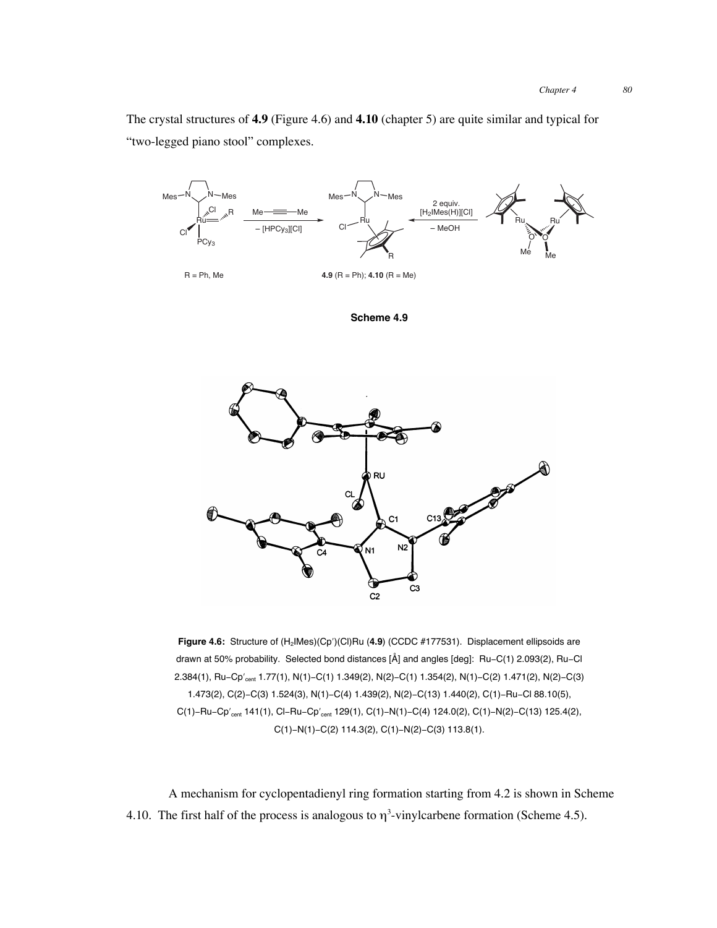The crystal structures of **4.9** (Figure 4.6) and **4.10** (chapter 5) are quite similar and typical for "two-legged piano stool" complexes.



**Scheme 4.9**



Figure 4.6: Structure of (H<sub>2</sub>IMes)(Cp')(Cl)Ru (4.9) (CCDC #177531). Displacement ellipsoids are drawn at 50% probability. Selected bond distances [Å] and angles [deg]: Ru−C(1) 2.093(2), Ru−Cl 2.384(1), Ru−Cp'<sub>cent</sub> 1.77(1), N(1)−C(1) 1.349(2), N(2)−C(1) 1.354(2), N(1)−C(2) 1.471(2), N(2)−C(3) 1.473(2), C(2)−C(3) 1.524(3), N(1)−C(4) 1.439(2), N(2)−C(13) 1.440(2), C(1)−Ru−Cl 88.10(5), C(1)-Ru-Cp'<sub>cent</sub> 141(1), Cl-Ru-Cp'<sub>cent</sub> 129(1), C(1)-N(1)-C(4) 124.0(2), C(1)-N(2)-C(13) 125.4(2), C(1)−N(1)−C(2) 114.3(2), C(1)−N(2)−C(3) 113.8(1).

A mechanism for cyclopentadienyl ring formation starting from 4.2 is shown in Scheme 4.10. The first half of the process is analogous to  $\eta^3$ -vinylcarbene formation (Scheme 4.5).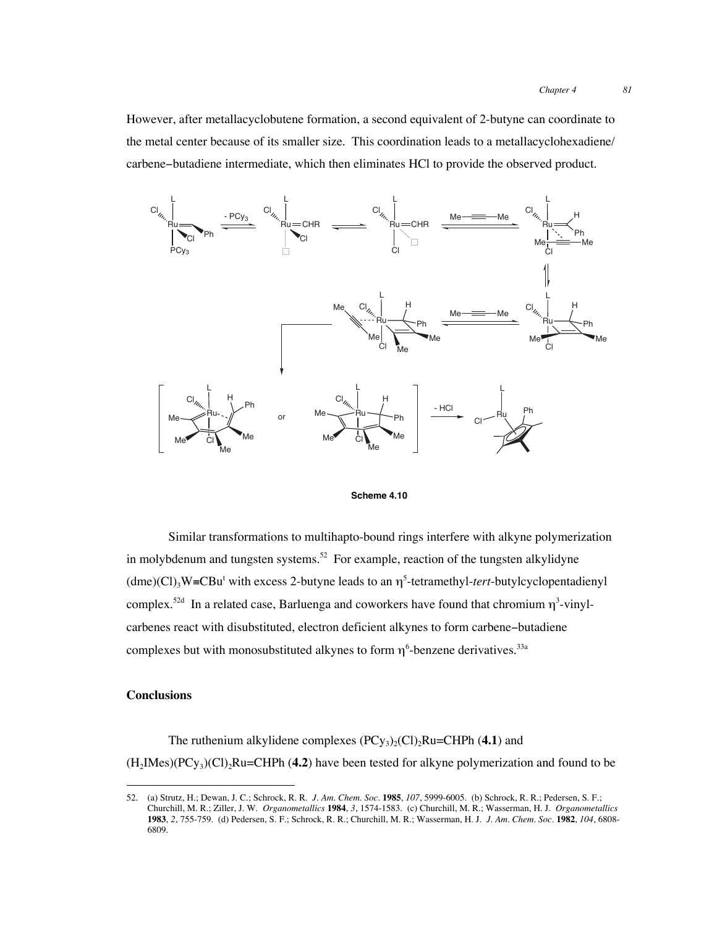However, after metallacyclobutene formation, a second equivalent of 2-butyne can coordinate to the metal center because of its smaller size. This coordination leads to a metallacyclohexadiene/ carbene−butadiene intermediate, which then eliminates HCl to provide the observed product.





Similar transformations to multihapto-bound rings interfere with alkyne polymerization in molybdenum and tungsten systems.<sup>52</sup> For example, reaction of the tungsten alkylidyne  $(dme)$ (Cl)<sub>3</sub>W≡CBu<sup>t</sup> with excess 2-butyne leads to an  $\eta^5$ -tetramethyl-tert-butylcyclopentadienyl complex.<sup>52d</sup> In a related case, Barluenga and coworkers have found that chromium  $\eta^3$ -vinylcarbenes react with disubstituted, electron deficient alkynes to form carbene−butadiene complexes but with monosubstituted alkynes to form  $\eta^6$ -benzene derivatives.<sup>33a</sup>

#### **Conclusions**

The ruthenium alkylidene complexes  $(PCy_3)_2(Cl)_2Ru=CHPh (4.1)$  and (H2IMes)(PCy3)(Cl)2Ru=CHPh (**4.2**) have been tested for alkyne polymerization and found to be

 <sup>52.</sup> (a) Strutz, H.; Dewan, J. C.; Schrock, R. R. *J. Am. Chem. Soc.* **<sup>1985</sup>**, *107*, 5999-6005. (b) Schrock, R. R.; Pedersen, S. F.; Churchill, M. R.; Ziller, J. W. *Organometallics* **1984**, *3*, 1574-1583. (c) Churchill, M. R.; Wasserman, H. J. *Organometallics* **1983**, *2*, 755-759. (d) Pedersen, S. F.; Schrock, R. R.; Churchill, M. R.; Wasserman, H. J. *J. Am. Chem. Soc.* **1982**, *104*, 6808- 6809.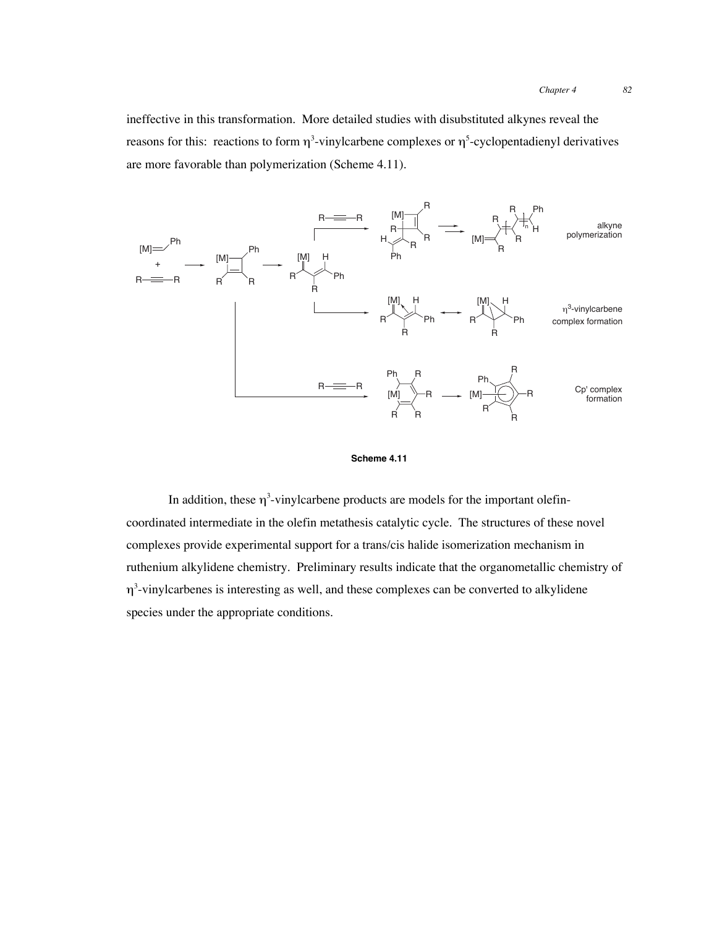*Chapter 4 82*

ineffective in this transformation. More detailed studies with disubstituted alkynes reveal the reasons for this: reactions to form  $\eta^3$ -vinylcarbene complexes or  $\eta^5$ -cyclopentadienyl derivatives are more favorable than polymerization (Scheme 4.11).





In addition, these  $\eta^3$ -vinylcarbene products are models for the important olefincoordinated intermediate in the olefin metathesis catalytic cycle. The structures of these novel complexes provide experimental support for a trans/cis halide isomerization mechanism in ruthenium alkylidene chemistry. Preliminary results indicate that the organometallic chemistry of  $\eta^3$ -vinylcarbenes is interesting as well, and these complexes can be converted to alkylidene species under the appropriate conditions.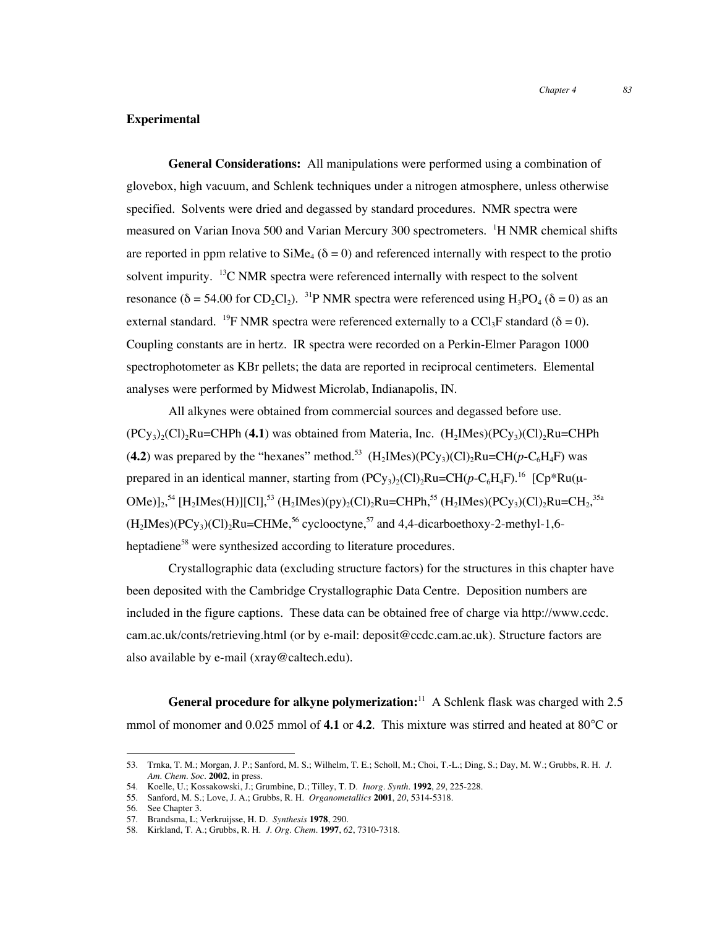#### **Experimental**

**General Considerations:** All manipulations were performed using a combination of glovebox, high vacuum, and Schlenk techniques under a nitrogen atmosphere, unless otherwise specified. Solvents were dried and degassed by standard procedures. NMR spectra were measured on Varian Inova 500 and Varian Mercury 300 spectrometers. <sup>1</sup>H NMR chemical shifts are reported in ppm relative to SiMe<sub>4</sub> ( $\delta = 0$ ) and referenced internally with respect to the protio solvent impurity.  $13C NMR$  spectra were referenced internally with respect to the solvent resonance ( $\delta$  = 54.00 for CD<sub>2</sub>Cl<sub>2</sub>). <sup>31</sup>P NMR spectra were referenced using H<sub>3</sub>PO<sub>4</sub> ( $\delta$  = 0) as an external standard. <sup>19</sup>F NMR spectra were referenced externally to a CCl<sub>3</sub>F standard ( $\delta = 0$ ). Coupling constants are in hertz. IR spectra were recorded on a Perkin-Elmer Paragon 1000 spectrophotometer as KBr pellets; the data are reported in reciprocal centimeters. Elemental analyses were performed by Midwest Microlab, Indianapolis, IN.

All alkynes were obtained from commercial sources and degassed before use.  $(PC_{y_3})_2(C)$ <sub>2</sub>Ru=CHPh (4.1) was obtained from Materia, Inc.  $(H_2M_2)(PC_{y_3})(C)$ <sub>2</sub>Ru=CHPh (4.2) was prepared by the "hexanes" method.<sup>53</sup> (H<sub>2</sub>IMes)(PC<sub>V3</sub>)(Cl)<sub>2</sub>Ru=CH( $p$ -C<sub>6</sub>H<sub>4</sub>F) was prepared in an identical manner, starting from  $(PC_{y3})_2(C_1)_2Ru=CH(p-C_6H_4F)^{16}$   $[Cp*Ru(\mu-$ OMe)]<sub>2</sub>,<sup>54</sup> [H<sub>2</sub>IMes(H)][Cl],<sup>53</sup> (H<sub>2</sub>IMes)(py)<sub>2</sub>(Cl)<sub>2</sub>Ru=CHPh,<sup>55</sup> (H<sub>2</sub>IMes)(PCy<sub>3</sub>)(Cl)<sub>2</sub>Ru=CH<sub>2</sub>,<sup>35a</sup>  $(H<sub>2</sub>IMes)(PCy<sub>3</sub>)(Cl)<sub>2</sub>Ru=CHMe<sup>56</sup> cyclooctyne<sup>57</sup> and 4.4-dicarboethoxy-2-methyl-1.6-1.$ heptadiene<sup>58</sup> were synthesized according to literature procedures.

Crystallographic data (excluding structure factors) for the structures in this chapter have been deposited with the Cambridge Crystallographic Data Centre. Deposition numbers are included in the figure captions. These data can be obtained free of charge via http://www.ccdc. cam.ac.uk/conts/retrieving.html (or by e-mail: deposit@ccdc.cam.ac.uk). Structure factors are also available by e-mail (xray@caltech.edu).

**General procedure for alkyne polymerization:**11 A Schlenk flask was charged with 2.5 mmol of monomer and 0.025 mmol of **4.1** or **4.2**. This mixture was stirred and heated at 80°C or

 <sup>53.</sup> Trnka, T. M.; Morgan, J. P.; Sanford, M. S.; Wilhelm, T. E.; Scholl, M.; Choi, T.-L.; Ding, S.; Day, M. W.; Grubbs, R. H. *J. Am. Chem. Soc.* **2002**, in press.

<sup>54.</sup> Koelle, U.; Kossakowski, J.; Grumbine, D.; Tilley, T. D. *Inorg. Synth.* **1992**, *29*, 225-228.

<sup>55.</sup> Sanford, M. S.; Love, J. A.; Grubbs, R. H. *Organometallics* **2001**, *20*, 5314-5318.

<sup>56.</sup> See Chapter 3.

<sup>57.</sup> Brandsma, L; Verkruijsse, H. D. *Synthesis* **1978**, 290.

<sup>58.</sup> Kirkland, T. A.; Grubbs, R. H. *J. Org. Chem.* **1997**, *62*, 7310-7318.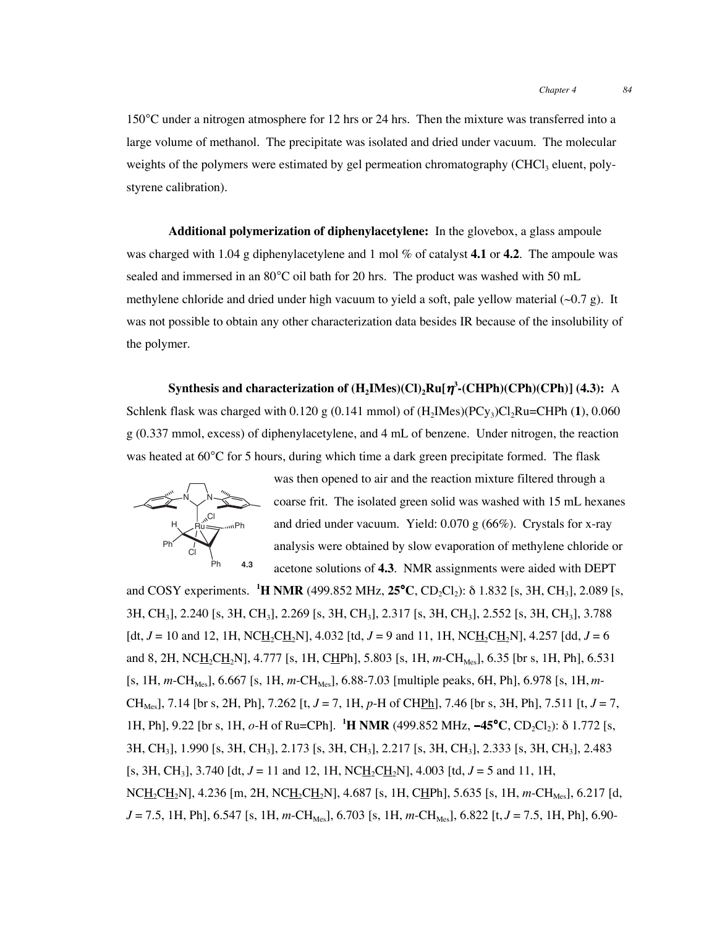150°C under a nitrogen atmosphere for 12 hrs or 24 hrs. Then the mixture was transferred into a large volume of methanol. The precipitate was isolated and dried under vacuum. The molecular weights of the polymers were estimated by gel permeation chromatography (CHCl<sub>3</sub> eluent, polystyrene calibration).

**Additional polymerization of diphenylacetylene:** In the glovebox, a glass ampoule was charged with 1.04 g diphenylacetylene and 1 mol % of catalyst **4.1** or **4.2**. The ampoule was sealed and immersed in an 80°C oil bath for 20 hrs. The product was washed with 50 mL methylene chloride and dried under high vacuum to yield a soft, pale yellow material  $(\sim 0.7 \text{ g})$ . It was not possible to obtain any other characterization data besides IR because of the insolubility of the polymer.

**Synthesis and characterization of (H<sub>2</sub>IMes)(Cl)<sub>2</sub>Ru[η<sup>3</sup>-(CHPh)(CPh)(CPh)] (4.3):** A Schlenk flask was charged with  $0.120 \text{ g}$  (0.141 mmol) of  $(H_2Mes)(PCy_3)Cl_2Ru=CHPh (1), 0.060$ g (0.337 mmol, excess) of diphenylacetylene, and 4 mL of benzene. Under nitrogen, the reaction was heated at 60°C for 5 hours, during which time a dark green precipitate formed. The flask



was then opened to air and the reaction mixture filtered through a coarse frit. The isolated green solid was washed with 15 mL hexanes and dried under vacuum. Yield: 0.070 g (66%). Crystals for x-ray analysis were obtained by slow evaporation of methylene chloride or acetone solutions of **4.3**. NMR assignments were aided with DEPT

and COSY experiments. **<sup>1</sup>H NMR** (499.852 MHz, **25<sup>°</sup>C**, CD<sub>2</sub>Cl<sub>2</sub>): δ 1.832 [s, 3H, CH<sub>3</sub>], 2.089 [s, 3H, CH3], 2.240 [s, 3H, CH3], 2.269 [s, 3H, CH3], 2.317 [s, 3H, CH3], 2.552 [s, 3H, CH3], 3.788  $\left[ \frac{dt}{J} = 10 \text{ and } 12, 1H, \text{NCH}_{2}CH_{2}N \right], 4.032 \left[ \frac{td}{J} = 9 \text{ and } 11, 1H, \text{NCH}_{2}CH_{2}N \right], 4.257 \left[ \frac{dd}{J} = 6 \right]$ and 8, 2H, NCH<sub>2</sub>CH<sub>2</sub>N], 4.777 [s, 1H, CHPh], 5.803 [s, 1H, m-CH<sub>Mes</sub>], 6.35 [br s, 1H, Ph], 6.531  $[s, 1H, m\text{-}CH_{\text{Mes}}], 6.667 [s, 1H, m\text{-}CH_{\text{ Mes}}], 6.88-7.03 [multiple peaks, 6H, Ph], 6.978 [s, 1H, m-$ CH<sub>Mes</sub>], 7.14 [br s, 2H, Ph], 7.262 [t,  $J = 7$ , 1H,  $p$ -H of CHPh], 7.46 [br s, 3H, Ph], 7.511 [t,  $J = 7$ , 1H, Ph], 9.22 [br s, 1H, *o*-H of Ru=CPh]. <sup>1</sup>**H NMR** (499.852 MHz, **−45°C**, CD<sub>2</sub>Cl<sub>2</sub>): δ 1.772 [s, 3H, CH3], 1.990 [s, 3H, CH3], 2.173 [s, 3H, CH3], 2.217 [s, 3H, CH3], 2.333 [s, 3H, CH3], 2.483 [s, 3H, CH<sub>3</sub>], 3.740 [dt,  $J = 11$  and 12, 1H, NCH<sub>2</sub>CH<sub>2</sub>N], 4.003 [td,  $J = 5$  and 11, 1H, NCH<sub>2</sub>CH<sub>2</sub>N], 4.236 [m, 2H, NCH<sub>2</sub>CH<sub>2</sub>N], 4.687 [s, 1H, CHPh], 5.635 [s, 1H, *m*-CH<sub>Mes</sub>], 6.217 [d,  $J = 7.5$ , 1H, Ph], 6.547 [s, 1H, *m*-CH<sub>Mes</sub>], 6.703 [s, 1H, *m*-CH<sub>Mes</sub>], 6.822 [t,  $J = 7.5$ , 1H, Ph], 6.90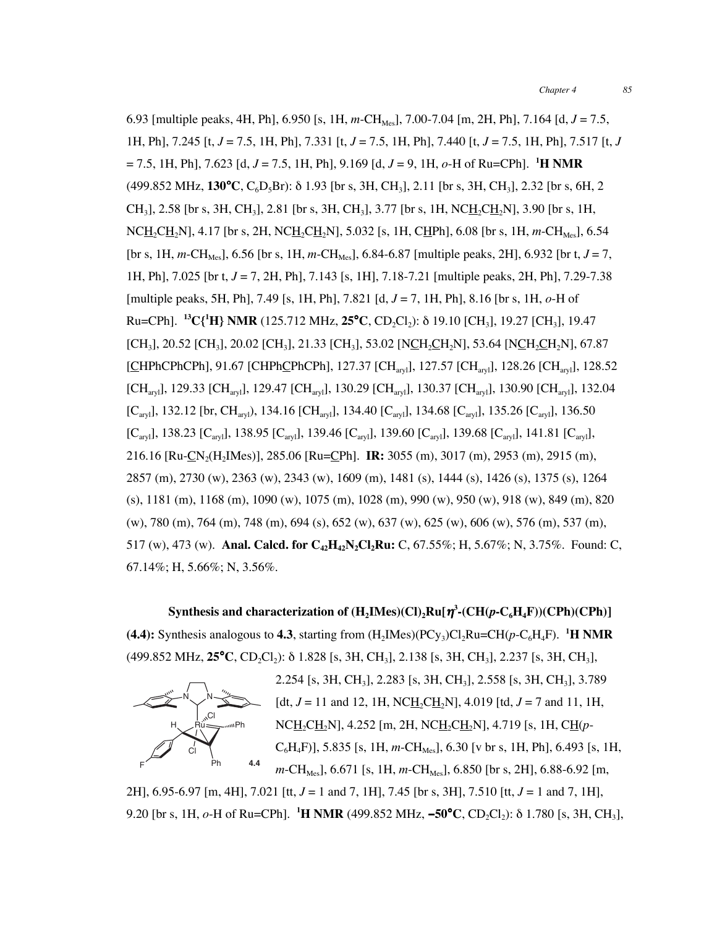6.93 [multiple peaks, 4H, Ph], 6.950 [s, 1H, *m*-CHMes], 7.00-7.04 [m, 2H, Ph], 7.164 [d, *J* = 7.5, 1H, Ph], 7.245 [t, *J* = 7.5, 1H, Ph], 7.331 [t, *J* = 7.5, 1H, Ph], 7.440 [t, *J* = 7.5, 1H, Ph], 7.517 [t, *J* = 7.5, 1H, Ph], 7.623 [d, *J* = 7.5, 1H, Ph], 9.169 [d, *J* = 9, 1H, *o*-H of Ru=CPh]. **<sup>1</sup> H NMR** (499.852 MHz, **130**°**C**, C6D5Br): δ 1.93 [br s, 3H, CH3], 2.11 [br s, 3H, CH3], 2.32 [br s, 6H, 2  $CH<sub>3</sub>$ ], 2.58 [br s, 3H, CH<sub>3</sub>], 2.81 [br s, 3H, CH<sub>3</sub>], 3.77 [br s, 1H, NCH<sub>2</sub>CH<sub>2</sub>N], 3.90 [br s, 1H,  $NCH_2CH_2N$ ], 4.17 [br s, 2H,  $NCH_2CH_2N$ ], 5.032 [s, 1H, CHPh], 6.08 [br s, 1H, *m*-CH<sub>Mes</sub>], 6.54  $[$  [br s, 1H, *m*-CH<sub>Mes</sub>], 6.56 [br s, 1H, *m*-CH<sub>Mes</sub>], 6.84-6.87 [multiple peaks, 2H], 6.932 [br t,  $J = 7$ , 1H, Ph], 7.025 [br t, *J* = 7, 2H, Ph], 7.143 [s, 1H], 7.18-7.21 [multiple peaks, 2H, Ph], 7.29-7.38 [multiple peaks, 5H, Ph], 7.49 [s, 1H, Ph], 7.821 [d, *J* = 7, 1H, Ph], 8.16 [br s, 1H, *o*-H of Ru=CPh]. **13C{1 H} NMR** (125.712 MHz, **25**°**C**, CD2Cl2): δ 19.10 [CH3], 19.27 [CH3], 19.47  $[CH_3]$ , 20.52  $[CH_3]$ , 20.02  $[CH_3]$ , 21.33  $[CH_3]$ , 53.02  $[NCH_2CH_2N]$ , 53.64  $[NCH_2CH_2N]$ , 67.87 [CHPhCPhCPh], 91.67 [CHPhCPhCPh], 127.37 [CH<sub>arvl</sub>], 127.57 [CH<sub>arvl</sub>], 128.26 [CH<sub>arvl</sub>], 128.52  $[\text{CH}_{\text{arvl}}]$ , 129.33  $[\text{CH}_{\text{arvl}}]$ , 129.47  $[\text{CH}_{\text{arvl}}]$ , 130.29  $[\text{CH}_{\text{arvl}}]$ , 130.37  $[\text{CH}_{\text{arvl}}]$ , 130.90  $[\text{CH}_{\text{arvl}}]$ , 132.04  $[C_{\text{ary}}]$ , 132.12 [br, CH<sub>aryl</sub>), 134.16 [CH<sub>aryl</sub>], 134.40 [C<sub>aryl</sub>], 134.68 [C<sub>aryl</sub>], 135.26 [C<sub>aryl</sub>], 136.50  $[C_{\text{aryl}}]$ , 138.23  $[C_{\text{aryl}}]$ , 138.95  $[C_{\text{aryl}}]$ , 139.46  $[C_{\text{aryl}}]$ , 139.60  $[C_{\text{aryl}}]$ , 139.68  $[C_{\text{aryl}}]$ , 141.81  $[C_{\text{aryl}}]$ , 216.16 [Ru-CN2(H2IMes)], 285.06 [Ru=CPh]. **IR:** 3055 (m), 3017 (m), 2953 (m), 2915 (m), 2857 (m), 2730 (w), 2363 (w), 2343 (w), 1609 (m), 1481 (s), 1444 (s), 1426 (s), 1375 (s), 1264 (s), 1181 (m), 1168 (m), 1090 (w), 1075 (m), 1028 (m), 990 (w), 950 (w), 918 (w), 849 (m), 820 (w), 780 (m), 764 (m), 748 (m), 694 (s), 652 (w), 637 (w), 625 (w), 606 (w), 576 (m), 537 (m), 517 (w), 473 (w). **Anal. Calcd. for C<sub>42</sub>H<sub>42</sub>N<sub>2</sub>Cl<sub>2</sub>Ru:** C, 67.55%; H, 5.67%; N, 3.75%. Found: C, 67.14%; H, 5.66%; N, 3.56%.

 $\mathbf{Synthesis}$  and characterization of  $(\mathbf{H}_{2}\mathbf{IMes})(\mathbf{Cl})_{2}\mathbf{R}\mathbf{u}[\boldsymbol{\eta}^{3}\text{-}(\mathbf{CH}(p\text{-}\mathbf{C}_{6}\mathbf{H}_{4}\mathbf{F}))(\mathbf{CPh})(\mathbf{CPh})]$ **(4.4):** Synthesis analogous to **4.3**, starting from  $(H_2IMes)(PCy_3)Cl_2Ru=CH(p-C_6H_4F)$ . <sup>1</sup>H NMR (499.852 MHz, 25<sup>°</sup>C, CD<sub>2</sub>Cl<sub>2</sub>): δ 1.828 [s, 3H, CH<sub>3</sub>], 2.138 [s, 3H, CH<sub>3</sub>], 2.237 [s, 3H, CH<sub>3</sub>],



2.254 [s, 3H, CH3], 2.283 [s, 3H, CH3], 2.558 [s, 3H, CH3], 3.789 [dt,  $J = 11$  and 12, 1H, NCH<sub>2</sub>CH<sub>2</sub>N], 4.019 [td,  $J = 7$  and 11, 1H, NCH<sub>2</sub>CH<sub>2</sub>N], 4.252 [m, 2H, NCH<sub>2</sub>CH<sub>2</sub>N], 4.719 [s, 1H, CH(p- $C_6H_4F$ ], 5.835 [s, 1H, *m*-CH<sub>Mes</sub>], 6.30 [v br s, 1H, Ph], 6.493 [s, 1H,  $m\text{-CH}_{\text{MeS}}$ ], 6.671 [s, 1H,  $m\text{-CH}_{\text{MeS}}$ ], 6.850 [br s, 2H], 6.88-6.92 [m,

2H], 6.95-6.97 [m, 4H], 7.021 [tt, *J* = 1 and 7, 1H], 7.45 [br s, 3H], 7.510 [tt, *J* = 1 and 7, 1H], 9.20 [br s, 1H, *o*-H of Ru=CPh]. **<sup>1</sup> H NMR** (499.852 MHz, −**50**°**C**, CD2Cl2): δ 1.780 [s, 3H, CH3],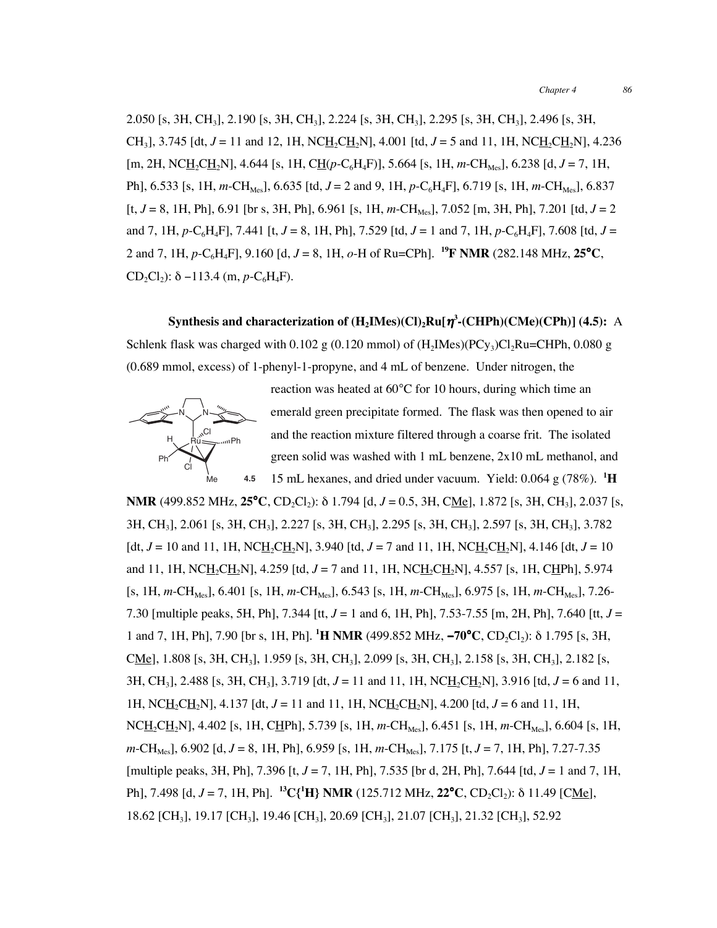2.050 [s, 3H, CH3], 2.190 [s, 3H, CH3], 2.224 [s, 3H, CH3], 2.295 [s, 3H, CH3], 2.496 [s, 3H, CH<sub>3</sub>, 3.745 [dt,  $J = 11$  and 12, 1H, NCH<sub>2</sub>CH<sub>2</sub>N], 4.001 [td,  $J = 5$  and 11, 1H, NCH<sub>2</sub>CH<sub>2</sub>N], 4.236 [m, 2H, NCH2CH2N], 4.644 [s, 1H, CH(*p*-C6H4F)], 5.664 [s, 1H, *m*-CHMes], 6.238 [d, *J* = 7, 1H, Ph], 6.533 [s, 1H, *m*-CH<sub>Mes</sub>], 6.635 [td, *J* = 2 and 9, 1H, *p*-C<sub>6</sub>H<sub>4</sub>F], 6.719 [s, 1H, *m*-CH<sub>Mes</sub>], 6.837  $[t, J = 8, 1H, Ph], 6.91$  [br s, 3H, Ph], 6.961 [s, 1H,  $m\text{-CH}_{Mes}$ ], 7.052 [m, 3H, Ph], 7.201 [td,  $J = 2$ ] and 7, 1H,  $p$ -C<sub>6</sub>H<sub>4</sub>F], 7.441 [t, *J* = 8, 1H, Ph], 7.529 [td, *J* = 1 and 7, 1H,  $p$ -C<sub>6</sub>H<sub>4</sub>F], 7.608 [td, *J* = 2 and 7, 1H,  $p$ -C<sub>6</sub>H<sub>4</sub>F], 9.160 [d,  $J = 8$ , 1H,  $o$ -H of Ru=CPh]. <sup>19</sup>**F NMR** (282.148 MHz, 25<sup>°</sup>C, CD<sub>2</sub>Cl<sub>2</sub>): δ −113.4 (m,  $p$ -C<sub>6</sub>H<sub>4</sub>F).

## **Synthesis and characterization of (H2IMes)(Cl)2Ru[**η**<sup>3</sup> -(CHPh)(CMe)(CPh)] (4.5):** A

Schlenk flask was charged with 0.102 g (0.120 mmol) of  $(H<sub>2</sub>Imes)(PC<sub>Y3</sub>)Cl<sub>2</sub>Ru=CHPh, 0.080 g$ (0.689 mmol, excess) of 1-phenyl-1-propyne, and 4 mL of benzene. Under nitrogen, the



reaction was heated at 60°C for 10 hours, during which time an emerald green precipitate formed. The flask was then opened to air and the reaction mixture filtered through a coarse frit. The isolated green solid was washed with 1 mL benzene, 2x10 mL methanol, and 15 mL hexanes, and dried under vacuum. Yield: 0.064 g (78%). **<sup>1</sup> H**

**NMR** (499.852 MHz,  $25^{\circ}$ C, CD<sub>2</sub>Cl<sub>2</sub>): δ 1.794 [d, *J* = 0.5, 3H, C<u>Me]</u>, 1.872 [s, 3H, CH<sub>3</sub>], 2.037 [s, 3H, CH3], 2.061 [s, 3H, CH3], 2.227 [s, 3H, CH3], 2.295 [s, 3H, CH3], 2.597 [s, 3H, CH3], 3.782  $\left[ \frac{dt}{dt}, J = 10 \text{ and } 11, 1H, \text{NCH}_2\text{CH}_2\text{N} \right],$  3.940  $\left[ \frac{td}{dt}, J = 7 \text{ and } 11, 1H, \text{NCH}_2\text{CH}_2\text{N} \right],$  4.146  $\left[ \frac{dt}{dt}, J = 10 \right]$ and 11, 1H, NC<u>H<sub>2</sub>CH<sub>2</sub>N]</u>, 4.259 [td,  $J = 7$  and 11, 1H, NC<u>H<sub>2</sub>CH<sub>2</sub>N], 4.557 [s, 1H, CHPh], 5.974</u> [s, 1H, *m*-CH<sub>Mes</sub>], 6.401 [s, 1H, *m*-CH<sub>Mes</sub>], 6.543 [s, 1H, *m*-CH<sub>Mes</sub>], 6.975 [s, 1H, *m*-CH<sub>Mes</sub>], 7.26-7.30 [multiple peaks, 5H, Ph], 7.344 [tt, *J* = 1 and 6, 1H, Ph], 7.53-7.55 [m, 2H, Ph], 7.640 [tt, *J* = **1** and 7, 1H, Ph], 7.90 [br s, 1H, Ph]. <sup>1</sup>**H NMR** (499.852 MHz, −70°**C**, CD<sub>2</sub>Cl<sub>2</sub>): δ 1.795 [s, 3H, CMe], 1.808 [s, 3H, CH<sub>3</sub>], 1.959 [s, 3H, CH<sub>3</sub>], 2.099 [s, 3H, CH<sub>3</sub>], 2.158 [s, 3H, CH<sub>3</sub>], 2.182 [s, 3H, CH<sub>3</sub>, 2.488 [s, 3H, CH<sub>3</sub>], 3.719 [dt,  $J = 11$  and 11, 1H, NC<u>H<sub>2</sub>CH<sub>2</sub></u>N], 3.916 [td,  $J = 6$  and 11, 1H, NCH2CH2N], 4.137 [dt, *J* = 11 and 11, 1H, NCH2CH2N], 4.200 [td, *J* = 6 and 11, 1H, NC<u>H</u><sub>2</sub>CH<sub>2</sub>N], 4.402 [s, 1H, CHPh], 5.739 [s, 1H, *m*-CH<sub>Mes</sub>], 6.451 [s, 1H, *m*-CH<sub>Mes</sub>], 6.604 [s, 1H, *m*-CH<sub>Mes</sub>], 6.902 [d, *J* = 8, 1H, Ph], 6.959 [s, 1H, *m*-CH<sub>Mes</sub>], 7.175 [t, *J* = 7, 1H, Ph], 7.27-7.35 [multiple peaks, 3H, Ph], 7.396 [t, *J* = 7, 1H, Ph], 7.535 [br d, 2H, Ph], 7.644 [td, *J* = 1 and 7, 1H, **Ph**], 7.498 [d, J = 7, 1H, Ph]. <sup>13</sup>C{<sup>1</sup>**H**} **NMR** (125.712 MHz, **22°C**, CD<sub>2</sub>Cl<sub>2</sub>): δ 11.49 [C<u>Me</u>], 18.62 [CH3], 19.17 [CH3], 19.46 [CH3], 20.69 [CH3], 21.07 [CH3], 21.32 [CH3], 52.92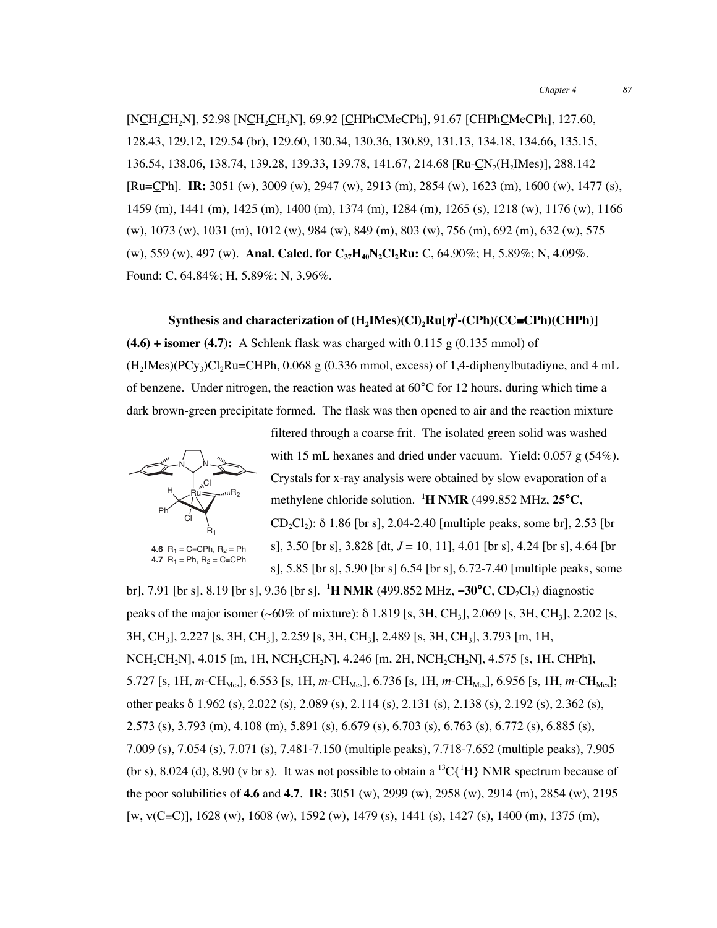[NCH<sub>2</sub>CH<sub>2</sub>N], 52.98 [NCH<sub>2</sub>CH<sub>2</sub>N], 69.92 [CHPhCMeCPh], 91.67 [CHPhCMeCPh], 127.60, 128.43, 129.12, 129.54 (br), 129.60, 130.34, 130.36, 130.89, 131.13, 134.18, 134.66, 135.15, 136.54, 138.06, 138.74, 139.28, 139.33, 139.78, 141.67, 214.68 [Ru-CN2(H2IMes)], 288.142 [Ru=CPh]. **IR:** 3051 (w), 3009 (w), 2947 (w), 2913 (m), 2854 (w), 1623 (m), 1600 (w), 1477 (s), 1459 (m), 1441 (m), 1425 (m), 1400 (m), 1374 (m), 1284 (m), 1265 (s), 1218 (w), 1176 (w), 1166 (w), 1073 (w), 1031 (m), 1012 (w), 984 (w), 849 (m), 803 (w), 756 (m), 692 (m), 632 (w), 575 (w), 559 (w), 497 (w). **Anal. Calcd. for C37H40N2Cl2Ru:** C, 64.90%; H, 5.89%; N, 4.09%. Found: C, 64.84%; H, 5.89%; N, 3.96%.

### **Synthesis and characterization of (H2IMes)(Cl)2Ru[**η**<sup>3</sup> -(CPh)(CC**≡**CPh)(CHPh)]**

 $(4.6)$  + isomer  $(4.7)$ : A Schlenk flask was charged with 0.115 g  $(0.135 \text{ mmol})$  of  $(H<sub>2</sub>IMes)(PCy<sub>3</sub>)Cl<sub>2</sub>Ru=CHPh, 0.068 g (0.336 mmol, excess) of 1.4-diphenylbutadiyne, and 4 mL$ of benzene. Under nitrogen, the reaction was heated at 60°C for 12 hours, during which time a dark brown-green precipitate formed. The flask was then opened to air and the reaction mixture



**4.7**  $R_1$  = Ph,  $R_2$  = C≡CPh

filtered through a coarse frit. The isolated green solid was washed with 15 mL hexanes and dried under vacuum. Yield: 0.057 g (54%). Crystals for x-ray analysis were obtained by slow evaporation of a methylene chloride solution. **<sup>1</sup> H NMR** (499.852 MHz, **25**°**C**, CD<sub>2</sub>Cl<sub>2</sub>): δ 1.86 [br s], 2.04-2.40 [multiple peaks, some br], 2.53 [br] s], 3.50 [br s], 3.828 [dt, *J* = 10, 11], 4.01 [br s], 4.24 [br s], 4.64 [br s], 5.85 [br s], 5.90 [br s] 6.54 [br s], 6.72-7.40 [multiple peaks, some

br], 7.91 [br s], 8.19 [br s], 9.36 [br s]. <sup>1</sup>**H NMR** (499.852 MHz, –30°C, CD<sub>2</sub>Cl<sub>2</sub>) diagnostic peaks of the major isomer (~60% of mixture): δ 1.819 [s, 3H, CH3], 2.069 [s, 3H, CH3], 2.202 [s, 3H, CH3], 2.227 [s, 3H, CH3], 2.259 [s, 3H, CH3], 2.489 [s, 3H, CH3], 3.793 [m, 1H,  $NCH_2CH_2N$ ], 4.015 [m, 1H,  $NCH_2CH_2N$ ], 4.246 [m, 2H,  $NCH_2CH_2N$ ], 4.575 [s, 1H, CHPh], 5.727 [s, 1H, *m*-CH<sub>Mes</sub>], 6.553 [s, 1H, *m*-CH<sub>Mes</sub>], 6.736 [s, 1H, *m*-CH<sub>Mes</sub>], 6.956 [s, 1H, *m*-CH<sub>Mes</sub>]; other peaks δ 1.962 (s), 2.022 (s), 2.089 (s), 2.114 (s), 2.131 (s), 2.138 (s), 2.192 (s), 2.362 (s), 2.573 (s), 3.793 (m), 4.108 (m), 5.891 (s), 6.679 (s), 6.703 (s), 6.763 (s), 6.772 (s), 6.885 (s), 7.009 (s), 7.054 (s), 7.071 (s), 7.481-7.150 (multiple peaks), 7.718-7.652 (multiple peaks), 7.905 (br s), 8.024 (d), 8.90 (v br s). It was not possible to obtain a  ${}^{13}C\{^1H\}$  NMR spectrum because of the poor solubilities of **4.6** and **4.7**. **IR:** 3051 (w), 2999 (w), 2958 (w), 2914 (m), 2854 (w), 2195 [w, ν(C≡C)], 1628 (w), 1608 (w), 1592 (w), 1479 (s), 1441 (s), 1427 (s), 1400 (m), 1375 (m),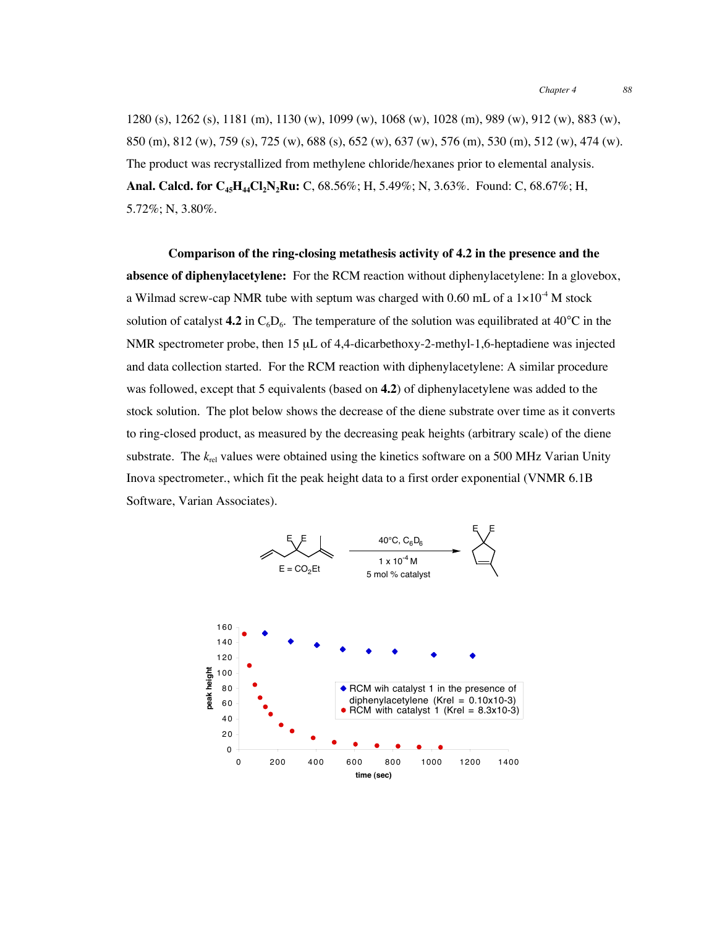1280 (s), 1262 (s), 1181 (m), 1130 (w), 1099 (w), 1068 (w), 1028 (m), 989 (w), 912 (w), 883 (w), 850 (m), 812 (w), 759 (s), 725 (w), 688 (s), 652 (w), 637 (w), 576 (m), 530 (m), 512 (w), 474 (w). The product was recrystallized from methylene chloride/hexanes prior to elemental analysis. **Anal. Calcd. for C<sub>45</sub>H<sub>44</sub>Cl<sub>2</sub>N<sub>2</sub>Ru:** C, 68.56%; H, 5.49%; N, 3.63%. Found: C, 68.67%; H, 5.72%; N, 3.80%.

**Comparison of the ring-closing metathesis activity of 4.2 in the presence and the absence of diphenylacetylene:** For the RCM reaction without diphenylacetylene: In a glovebox, a Wilmad screw-cap NMR tube with septum was charged with 0.60 mL of a  $1\times10^{-4}$  M stock solution of catalyst **4.2** in  $C_6D_6$ . The temperature of the solution was equilibrated at 40<sup>o</sup>C in the NMR spectrometer probe, then 15 µL of 4,4-dicarbethoxy-2-methyl-1,6-heptadiene was injected and data collection started. For the RCM reaction with diphenylacetylene: A similar procedure was followed, except that 5 equivalents (based on **4.2**) of diphenylacetylene was added to the stock solution. The plot below shows the decrease of the diene substrate over time as it converts to ring-closed product, as measured by the decreasing peak heights (arbitrary scale) of the diene substrate. The  $k_{rel}$  values were obtained using the kinetics software on a 500 MHz Varian Unity Inova spectrometer., which fit the peak height data to a first order exponential (VNMR 6.1B Software, Varian Associates).

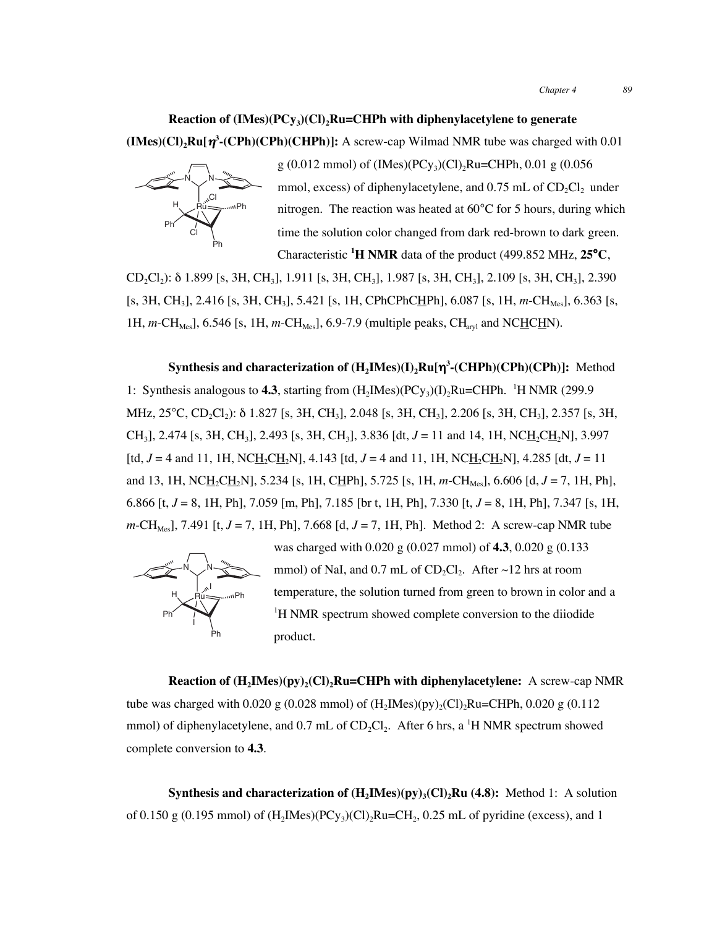### **Reaction of (IMes)(PCy<sub>3</sub>)(Cl)<sub>2</sub>Ru=CHPh with diphenylacetylene to generate**

**(IMes)(Cl)2Ru[**η**<sup>3</sup> -(CPh)(CPh)(CHPh)]:** A screw-cap Wilmad NMR tube was charged with 0.01



g (0.012 mmol) of (IMes)(PCy<sub>3</sub>)(Cl)<sub>2</sub>Ru=CHPh, 0.01 g (0.056 mmol, excess) of diphenylacetylene, and  $0.75$  mL of  $CD_2Cl_2$  under nitrogen. The reaction was heated at 60°C for 5 hours, during which time the solution color changed from dark red-brown to dark green. Characteristic **<sup>1</sup> H NMR** data of the product (499.852 MHz, **25**°**C**,

CD2Cl2): δ 1.899 [s, 3H, CH3], 1.911 [s, 3H, CH3], 1.987 [s, 3H, CH3], 2.109 [s, 3H, CH3], 2.390 [s, 3H, CH<sub>3</sub>], 2.416 [s, 3H, CH<sub>3</sub>], 5.421 [s, 1H, CPhCPhC<u>H</u>Ph], 6.087 [s, 1H, *m*-CH<sub>Mes</sub>], 6.363 [s, 1H,  $m$ -CH<sub>Mes</sub>], 6.546 [s, 1H,  $m$ -CH<sub>Mes</sub>], 6.9-7.9 (multiple peaks, CH<sub>aryl</sub> and NC<u>HCH</u>N).

**Synthesis and characterization of (H2IMes)(I)2Ru[**η**<sup>3</sup> -(CHPh)(CPh)(CPh)]:** Method 1: Synthesis analogous to **4.3**, starting from  $(H_2$ IMes $)(PCy_3)(I)_2$ Ru=CHPh. <sup>1</sup>H NMR (299.9) MHz,  $25^{\circ}$ C, CD<sub>2</sub>Cl<sub>2</sub>): δ 1.827 [s, 3H, CH<sub>3</sub>], 2.048 [s, 3H, CH<sub>3</sub>], 2.206 [s, 3H, CH<sub>3</sub>], 2.357 [s, 3H, CH<sub>3</sub>], 2.474 [s, 3H, CH<sub>3</sub>], 2.493 [s, 3H, CH<sub>3</sub>], 3.836 [dt,  $J = 11$  and 14, 1H, NCH<sub>2</sub>CH<sub>2</sub>N], 3.997 [td,  $J = 4$  and 11, 1H, NCH<sub>2</sub>CH<sub>2</sub>N], 4.143 [td,  $J = 4$  and 11, 1H, NCH<sub>2</sub>CH<sub>2</sub>N], 4.285 [dt,  $J = 11$ and 13, 1H, NC<u>H</u><sub>2</sub>CH<sub>2</sub>N], 5.234 [s, 1H, CHPh], 5.725 [s, 1H, *m*-CH<sub>Mes</sub>], 6.606 [d, *J* = 7, 1H, Ph], 6.866 [t, *J* = 8, 1H, Ph], 7.059 [m, Ph], 7.185 [br t, 1H, Ph], 7.330 [t, *J* = 8, 1H, Ph], 7.347 [s, 1H, *m*-CH<sub>Mes</sub>], 7.491 [t,  $J = 7$ , 1H, Ph], 7.668 [d,  $J = 7$ , 1H, Ph]. Method 2: A screw-cap NMR tube



was charged with 0.020 g (0.027 mmol) of **4.3**, 0.020 g (0.133 mmol) of NaI, and 0.7 mL of CD<sub>2</sub>Cl<sub>2</sub>. After  $\sim$ 12 hrs at room temperature, the solution turned from green to brown in color and a <sup>1</sup>H NMR spectrum showed complete conversion to the diiodide product.

**Reaction of**  $(H_2IMes)(py)_2(Cl)_2Ru=CHPh$  **with diphenylacetylene:** A screw-cap NMR tube was charged with 0.020 g (0.028 mmol) of  $(H_2Mes)(py)_2(Cl)_2Ru=CHPh$ , 0.020 g (0.112 mmol) of diphenylacetylene, and 0.7 mL of  $CD_2Cl_2$ . After 6 hrs, a <sup>1</sup>H NMR spectrum showed complete conversion to **4.3**.

**Synthesis and characterization of**  $(H_2IMes)(py)_3(Cl)_2Ru$  **(4.8):** Method 1: A solution of 0.150 g (0.195 mmol) of  $(H_2Mes)(PCy_3)(Cl)_2Ru=CH_2$ , 0.25 mL of pyridine (excess), and 1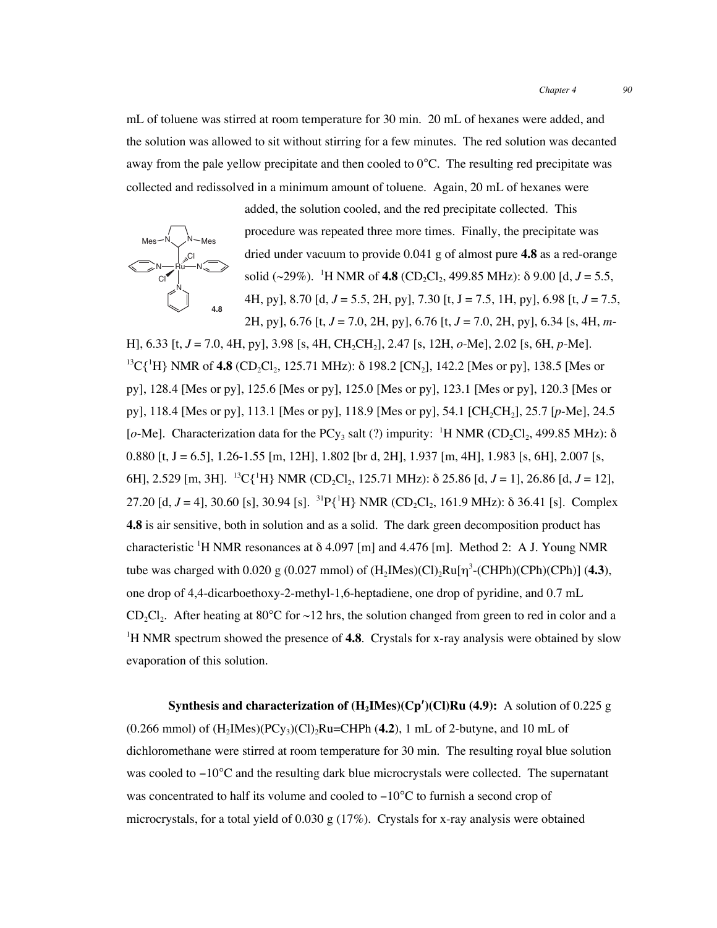mL of toluene was stirred at room temperature for 30 min. 20 mL of hexanes were added, and the solution was allowed to sit without stirring for a few minutes. The red solution was decanted away from the pale yellow precipitate and then cooled to  $0^{\circ}$ C. The resulting red precipitate was collected and redissolved in a minimum amount of toluene. Again, 20 mL of hexanes were



added, the solution cooled, and the red precipitate collected. This procedure was repeated three more times. Finally, the precipitate was dried under vacuum to provide 0.041 g of almost pure **4.8** as a red-orange solid (~29%). <sup>1</sup>H NMR of **4.8** (CD<sub>2</sub>Cl<sub>2</sub>, 499.85 MHz):  $\delta$  9.00 [d, *J* = 5.5, 4H, py], 8.70 [d, *J* = 5.5, 2H, py], 7.30 [t, J = 7.5, 1H, py], 6.98 [t, *J* = 7.5, 2H, py], 6.76 [t, *J* = 7.0, 2H, py], 6.76 [t, *J* = 7.0, 2H, py], 6.34 [s, 4H, *m*-

H], 6.33 [t, *J* = 7.0, 4H, py], 3.98 [s, 4H, CH2CH2], 2.47 [s, 12H, *o*-Me], 2.02 [s, 6H, *p*-Me]. <sup>13</sup>C{<sup>1</sup>H} NMR of 4.8 (CD<sub>2</sub>Cl<sub>2</sub>, 125.71 MHz): δ 198.2 [CN<sub>2</sub>], 142.2 [Mes or py], 138.5 [Mes or py], 128.4 [Mes or py], 125.6 [Mes or py], 125.0 [Mes or py], 123.1 [Mes or py], 120.3 [Mes or py], 118.4 [Mes or py], 113.1 [Mes or py], 118.9 [Mes or py], 54.1 [CH2CH2], 25.7 [*p*-Me], 24.5 [ $o$ -Me]. Characterization data for the PCy<sub>3</sub> salt (?) impurity: <sup>1</sup>H NMR (CD<sub>2</sub>Cl<sub>2</sub>, 499.85 MHz):  $\delta$ 0.880 [t, J = 6.5], 1.26-1.55 [m, 12H], 1.802 [br d, 2H], 1.937 [m, 4H], 1.983 [s, 6H], 2.007 [s, 6H], 2.529 [m, 3H]. <sup>13</sup>C{<sup>1</sup>H} NMR (CD<sub>2</sub>Cl<sub>2</sub>, 125.71 MHz):  $\delta$  25.86 [d, *J* = 1], 26.86 [d, *J* = 12], 27.20 [d,  $J = 4$ ], 30.60 [s], 30.94 [s]. <sup>31</sup>P{<sup>1</sup>H} NMR (CD<sub>2</sub>Cl<sub>2</sub>, 161.9 MHz):  $\delta$  36.41 [s]. Complex **4.8** is air sensitive, both in solution and as a solid. The dark green decomposition product has characteristic <sup>1</sup>H NMR resonances at δ 4.097 [m] and 4.476 [m]. Method 2: A J. Young NMR tube was charged with 0.020 g (0.027 mmol) of  $(H_2Mes)$ (Cl)<sub>2</sub>Ru[ $\eta^3$ -(CHPh)(CPh)(CPh)] (4.3), one drop of 4,4-dicarboethoxy-2-methyl-1,6-heptadiene, one drop of pyridine, and 0.7 mL CD<sub>2</sub>Cl<sub>2</sub>. After heating at  $80^{\circ}$ C for  $\sim$ 12 hrs, the solution changed from green to red in color and a <sup>1</sup>H NMR spectrum showed the presence of **4.8**. Crystals for x-ray analysis were obtained by slow evaporation of this solution.

**Synthesis and characterization of (H2IMes)(Cp**′**)(Cl)Ru (4.9):** A solution of 0.225 g  $(0.266 \text{ mmol})$  of  $(H_2$ IMes $)(PCy_3)(Cl)_2$ Ru=CHPh  $(4.2)$ , 1 mL of 2-butyne, and 10 mL of dichloromethane were stirred at room temperature for 30 min. The resulting royal blue solution was cooled to −10°C and the resulting dark blue microcrystals were collected. The supernatant was concentrated to half its volume and cooled to −10°C to furnish a second crop of microcrystals, for a total yield of 0.030 g  $(17\%)$ . Crystals for x-ray analysis were obtained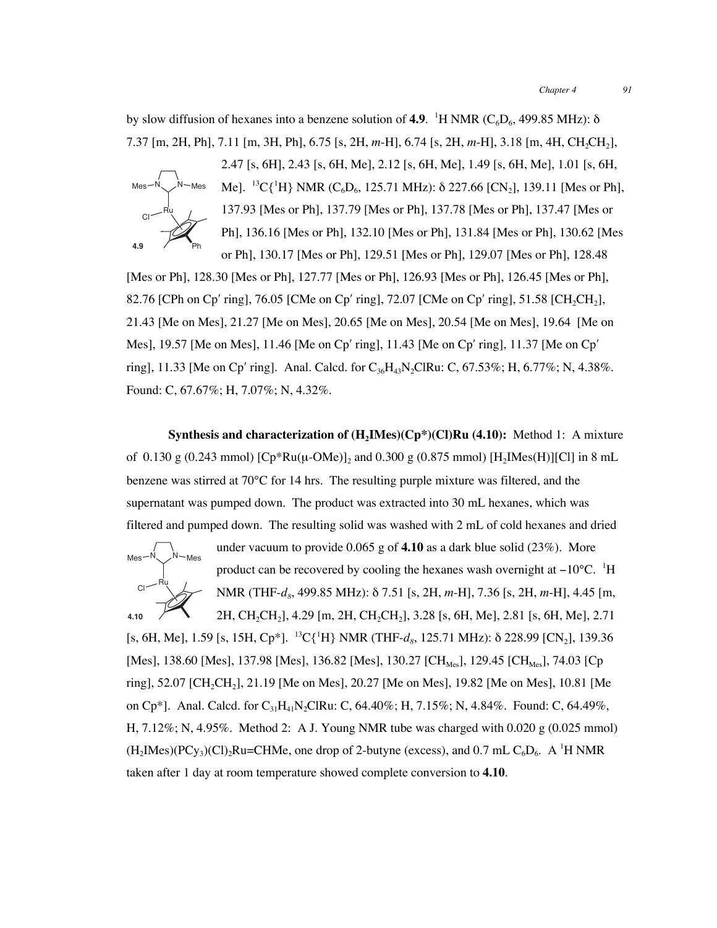by slow diffusion of hexanes into a benzene solution of  $4.9$ . <sup>1</sup>H NMR ( $C_6D_6$ , 499.85 MHz):  $\delta$ 7.37 [m, 2H, Ph], 7.11 [m, 3H, Ph], 6.75 [s, 2H, *m*-H], 6.74 [s, 2H, *m*-H], 3.18 [m, 4H, CH2CH2],



2.47 [s, 6H], 2.43 [s, 6H, Me], 2.12 [s, 6H, Me], 1.49 [s, 6H, Me], 1.01 [s, 6H, Me]. <sup>13</sup>C{<sup>1</sup>H} NMR (C<sub>6</sub>D<sub>6</sub>, 125.71 MHz):  $\delta$  227.66 [CN<sub>2</sub>], 139.11 [Mes or Ph], 137.93 [Mes or Ph], 137.79 [Mes or Ph], 137.78 [Mes or Ph], 137.47 [Mes or Ph], 136.16 [Mes or Ph], 132.10 [Mes or Ph], 131.84 [Mes or Ph], 130.62 [Mes or Ph], 130.17 [Mes or Ph], 129.51 [Mes or Ph], 129.07 [Mes or Ph], 128.48

[Mes or Ph], 128.30 [Mes or Ph], 127.77 [Mes or Ph], 126.93 [Mes or Ph], 126.45 [Mes or Ph], 82.76 [CPh on Cp' ring], 76.05 [CMe on Cp' ring], 72.07 [CMe on Cp' ring], 51.58 [CH<sub>2</sub>CH<sub>2</sub>], 21.43 [Me on Mes], 21.27 [Me on Mes], 20.65 [Me on Mes], 20.54 [Me on Mes], 19.64 [Me on Mes], 19.57 [Me on Mes], 11.46 [Me on Cp′ ring], 11.43 [Me on Cp′ ring], 11.37 [Me on Cp′ ring], 11.33 [Me on Cp' ring]. Anal. Calcd. for  $C_{36}H_{43}N_{2}CIRu$ : C, 67.53%; H, 6.77%; N, 4.38%. Found: C, 67.67%; H, 7.07%; N, 4.32%.

**Synthesis and characterization of (H<sub>2</sub>IMes)(Cp<sup>\*</sup>)(Cl)Ru (4.10):** Method 1: A mixture of 0.130 g (0.243 mmol)  $[Cp*Ru(\mu-OMe)]_2$  and 0.300 g (0.875 mmol)  $[H_2Mes(H)][Cl]$  in 8 mL benzene was stirred at  $70^{\circ}$ C for 14 hrs. The resulting purple mixture was filtered, and the supernatant was pumped down. The product was extracted into 30 mL hexanes, which was filtered and pumped down. The resulting solid was washed with 2 mL of cold hexanes and dried



under vacuum to provide 0.065 g of **4.10** as a dark blue solid (23%). More product can be recovered by cooling the hexanes wash overnight at –10°C. <sup>1</sup>H NMR (THF-*d8*, 499.85 MHz): δ 7.51 [s, 2H, *m*-H], 7.36 [s, 2H, *m*-H], 4.45 [m, 2H, CH2CH2], 4.29 [m, 2H, CH2CH2], 3.28 [s, 6H, Me], 2.81 [s, 6H, Me], 2.71 [s, 6H, Me], 1.59 [s, 15H, Cp<sup>\*</sup>]. <sup>13</sup>C{<sup>1</sup>H} NMR (THF-*d*<sub>8</sub>, 125.71 MHz): δ 228.99 [CN<sub>2</sub>], 139.36 [Mes], 138.60 [Mes], 137.98 [Mes], 136.82 [Mes], 130.27 [CH<sub>Mes</sub>], 129.45 [CH<sub>Mes</sub>], 74.03 [Cp ring], 52.07 [CH<sub>2</sub>CH<sub>2</sub>], 21.19 [Me on Mes], 20.27 [Me on Mes], 19.82 [Me on Mes], 10.81 [Me on Cp<sup>\*</sup>]. Anal. Calcd. for  $C_{31}H_{41}N_{2}CIRu$ : C, 64.40%; H, 7.15%; N, 4.84%. Found: C, 64.49%, H, 7.12%; N, 4.95%. Method 2: A J. Young NMR tube was charged with 0.020 g (0.025 mmol)  $(H_2Mes)(PCy_3)(Cl)_2Ru=CHMe$ , one drop of 2-butyne (excess), and 0.7 mL  $C_6D_6$ . A <sup>1</sup>H NMR taken after 1 day at room temperature showed complete conversion to **4.10**.